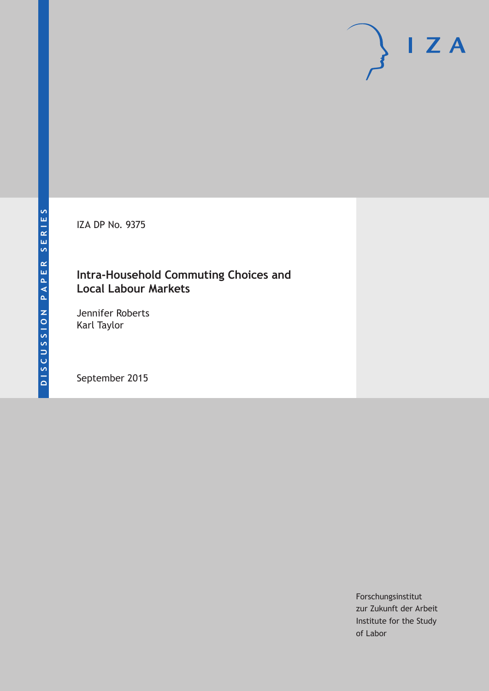IZA DP No. 9375

# **Intra-Household Commuting Choices and Local Labour Markets**

Jennifer Roberts Karl Taylor

September 2015

Forschungsinstitut zur Zukunft der Arbeit Institute for the Study of Labor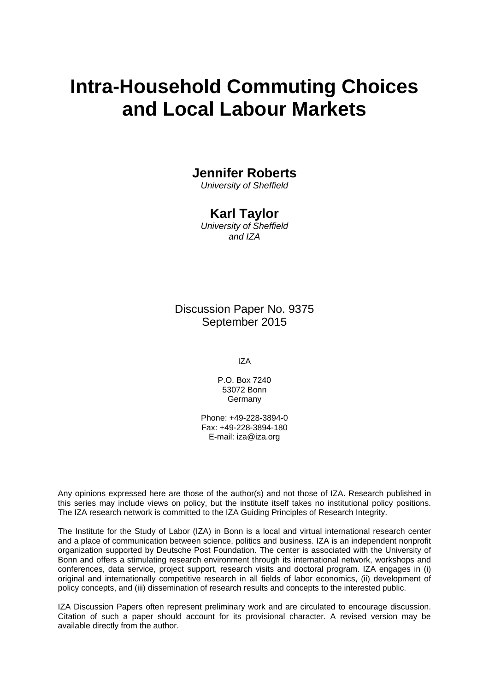# **Intra-Household Commuting Choices and Local Labour Markets**

# **Jennifer Roberts**

*University of Sheffield* 

# **Karl Taylor**

*University of Sheffield and IZA* 

Discussion Paper No. 9375 September 2015

IZA

P.O. Box 7240 53072 Bonn **Germany** 

Phone: +49-228-3894-0 Fax: +49-228-3894-180 E-mail: iza@iza.org

Any opinions expressed here are those of the author(s) and not those of IZA. Research published in this series may include views on policy, but the institute itself takes no institutional policy positions. The IZA research network is committed to the IZA Guiding Principles of Research Integrity.

The Institute for the Study of Labor (IZA) in Bonn is a local and virtual international research center and a place of communication between science, politics and business. IZA is an independent nonprofit organization supported by Deutsche Post Foundation. The center is associated with the University of Bonn and offers a stimulating research environment through its international network, workshops and conferences, data service, project support, research visits and doctoral program. IZA engages in (i) original and internationally competitive research in all fields of labor economics, (ii) development of policy concepts, and (iii) dissemination of research results and concepts to the interested public.

IZA Discussion Papers often represent preliminary work and are circulated to encourage discussion. Citation of such a paper should account for its provisional character. A revised version may be available directly from the author.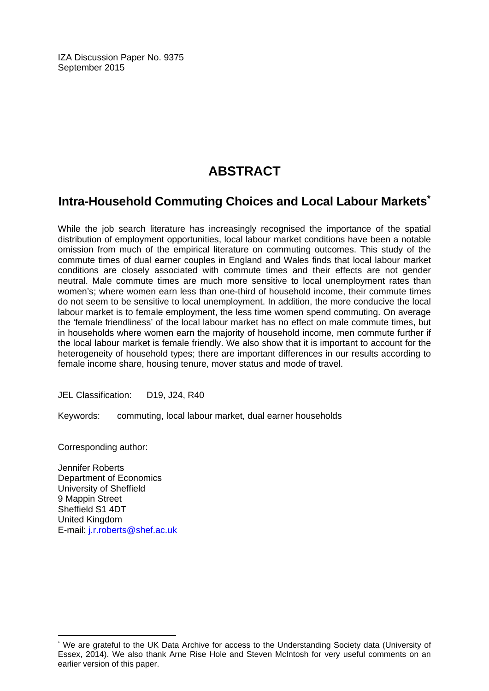IZA Discussion Paper No. 9375 September 2015

# **ABSTRACT**

# **Intra-Household Commuting Choices and Local Labour Markets\***

While the job search literature has increasingly recognised the importance of the spatial distribution of employment opportunities, local labour market conditions have been a notable omission from much of the empirical literature on commuting outcomes. This study of the commute times of dual earner couples in England and Wales finds that local labour market conditions are closely associated with commute times and their effects are not gender neutral. Male commute times are much more sensitive to local unemployment rates than women's; where women earn less than one-third of household income, their commute times do not seem to be sensitive to local unemployment. In addition, the more conducive the local labour market is to female employment, the less time women spend commuting. On average the 'female friendliness' of the local labour market has no effect on male commute times, but in households where women earn the majority of household income, men commute further if the local labour market is female friendly. We also show that it is important to account for the heterogeneity of household types; there are important differences in our results according to female income share, housing tenure, mover status and mode of travel.

JEL Classification: D19, J24, R40

Keywords: commuting, local labour market, dual earner households

Corresponding author:

 $\overline{a}$ 

Jennifer Roberts Department of Economics University of Sheffield 9 Mappin Street Sheffield S1 4DT United Kingdom E-mail: j.r.roberts@shef.ac.uk

<sup>\*</sup> We are grateful to the UK Data Archive for access to the Understanding Society data (University of Essex, 2014). We also thank Arne Rise Hole and Steven McIntosh for very useful comments on an earlier version of this paper.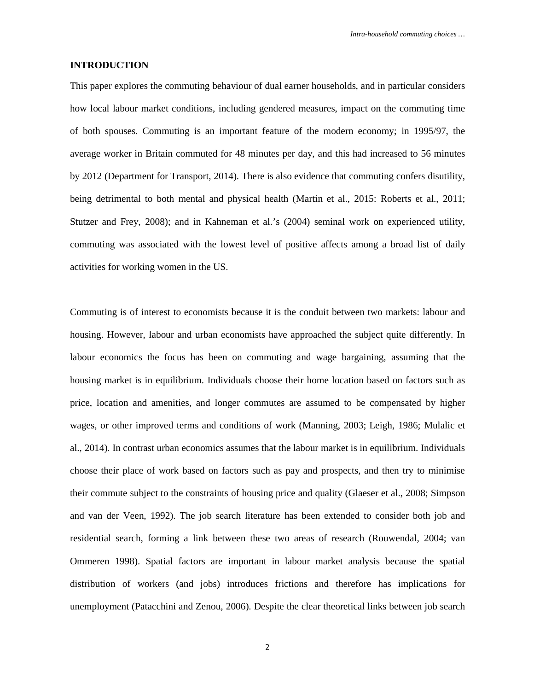#### **INTRODUCTION**

This paper explores the commuting behaviour of dual earner households, and in particular considers how local labour market conditions, including gendered measures, impact on the commuting time of both spouses. Commuting is an important feature of the modern economy; in 1995/97, the average worker in Britain commuted for 48 minutes per day, and this had increased to 56 minutes by 2012 (Department for Transport, 2014). There is also evidence that commuting confers disutility, being detrimental to both mental and physical health (Martin et al., 2015: Roberts et al., 2011; Stutzer and Frey, 2008); and in Kahneman et al.'s (2004) seminal work on experienced utility, commuting was associated with the lowest level of positive affects among a broad list of daily activities for working women in the US.

Commuting is of interest to economists because it is the conduit between two markets: labour and housing. However, labour and urban economists have approached the subject quite differently. In labour economics the focus has been on commuting and wage bargaining, assuming that the housing market is in equilibrium. Individuals choose their home location based on factors such as price, location and amenities, and longer commutes are assumed to be compensated by higher wages, or other improved terms and conditions of work (Manning, 2003; Leigh, 1986; Mulalic et al., 2014). In contrast urban economics assumes that the labour market is in equilibrium. Individuals choose their place of work based on factors such as pay and prospects, and then try to minimise their commute subject to the constraints of housing price and quality (Glaeser et al., 2008; Simpson and van der Veen, 1992). The job search literature has been extended to consider both job and residential search, forming a link between these two areas of research (Rouwendal, 2004; van Ommeren 1998). Spatial factors are important in labour market analysis because the spatial distribution of workers (and jobs) introduces frictions and therefore has implications for unemployment (Patacchini and Zenou, 2006). Despite the clear theoretical links between job search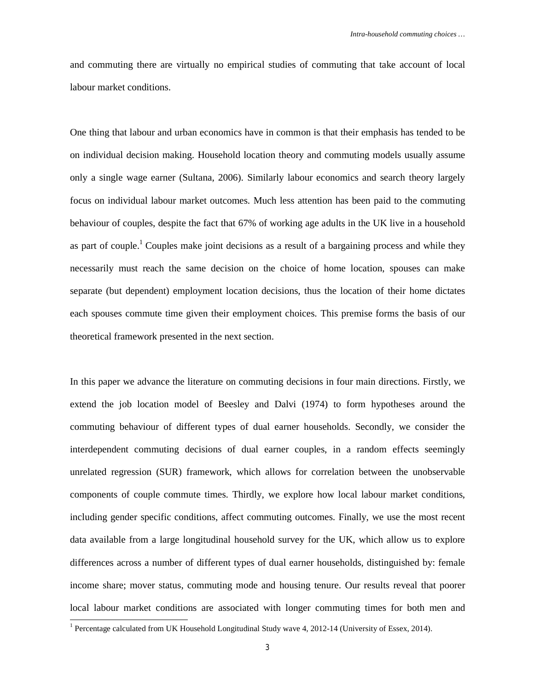and commuting there are virtually no empirical studies of commuting that take account of local labour market conditions.

One thing that labour and urban economics have in common is that their emphasis has tended to be on individual decision making. Household location theory and commuting models usually assume only a single wage earner (Sultana, 2006). Similarly labour economics and search theory largely focus on individual labour market outcomes. Much less attention has been paid to the commuting behaviour of couples, despite the fact that 67% of working age adults in the UK live in a household as part of couple.<sup>1</sup> Couples make joint decisions as a result of a bargaining process and while they necessarily must reach the same decision on the choice of home location, spouses can make separate (but dependent) employment location decisions, thus the location of their home dictates each spouses commute time given their employment choices. This premise forms the basis of our theoretical framework presented in the next section.

In this paper we advance the literature on commuting decisions in four main directions. Firstly, we extend the job location model of Beesley and Dalvi (1974) to form hypotheses around the commuting behaviour of different types of dual earner households. Secondly, we consider the interdependent commuting decisions of dual earner couples, in a random effects seemingly unrelated regression (SUR) framework, which allows for correlation between the unobservable components of couple commute times. Thirdly, we explore how local labour market conditions, including gender specific conditions, affect commuting outcomes. Finally, we use the most recent data available from a large longitudinal household survey for the UK, which allow us to explore differences across a number of different types of dual earner households, distinguished by: female income share; mover status, commuting mode and housing tenure. Our results reveal that poorer local labour market conditions are associated with longer commuting times for both men and

 1 Percentage calculated from UK Household Longitudinal Study wave 4, 2012-14 (University of Essex, 2014).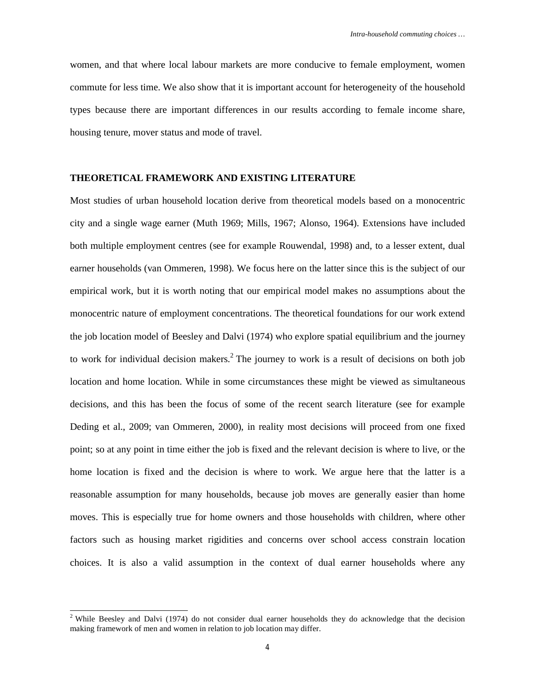women, and that where local labour markets are more conducive to female employment, women commute for less time. We also show that it is important account for heterogeneity of the household types because there are important differences in our results according to female income share, housing tenure, mover status and mode of travel.

#### **THEORETICAL FRAMEWORK AND EXISTING LITERATURE**

Most studies of urban household location derive from theoretical models based on a monocentric city and a single wage earner (Muth 1969; Mills, 1967; Alonso, 1964). Extensions have included both multiple employment centres (see for example Rouwendal, 1998) and, to a lesser extent, dual earner households (van Ommeren, 1998). We focus here on the latter since this is the subject of our empirical work, but it is worth noting that our empirical model makes no assumptions about the monocentric nature of employment concentrations. The theoretical foundations for our work extend the job location model of Beesley and Dalvi (1974) who explore spatial equilibrium and the journey to work for individual decision makers.<sup>2</sup> The journey to work is a result of decisions on both job location and home location. While in some circumstances these might be viewed as simultaneous decisions, and this has been the focus of some of the recent search literature (see for example Deding et al., 2009; van Ommeren, 2000), in reality most decisions will proceed from one fixed point; so at any point in time either the job is fixed and the relevant decision is where to live, or the home location is fixed and the decision is where to work. We argue here that the latter is a reasonable assumption for many households, because job moves are generally easier than home moves. This is especially true for home owners and those households with children, where other factors such as housing market rigidities and concerns over school access constrain location choices. It is also a valid assumption in the context of dual earner households where any

<sup>&</sup>lt;sup>2</sup> While Beesley and Dalvi (1974) do not consider dual earner households they do acknowledge that the decision making framework of men and women in relation to job location may differ.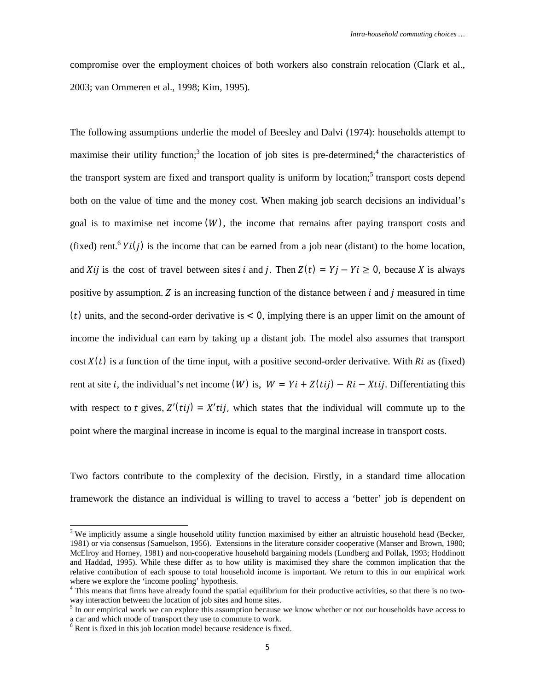compromise over the employment choices of both workers also constrain relocation (Clark et al., 2003; van Ommeren et al., 1998; Kim, 1995).

The following assumptions underlie the model of Beesley and Dalvi (1974): households attempt to maximise their utility function;<sup>3</sup> the location of job sites is pre-determined;<sup>4</sup> the characteristics of the transport system are fixed and transport quality is uniform by location;<sup>5</sup> transport costs depend both on the value of time and the money cost. When making job search decisions an individual's goal is to maximise net income  $(W)$ , the income that remains after paying transport costs and (fixed) rent.<sup>6</sup>  $Yi(j)$  is the income that can be earned from a job near (distant) to the home location, and Xij is the cost of travel between sites i and j. Then  $Z(t) = Yj - Yi \ge 0$ , because X is always positive by assumption. Z is an increasing function of the distance between  $i$  and  $j$  measured in time (*t*) units, and the second-order derivative is  $\lt 0$ , implying there is an upper limit on the amount of income the individual can earn by taking up a distant job. The model also assumes that transport cost  $X(t)$  is a function of the time input, with a positive second-order derivative. With Ri as (fixed) rent at site *i*, the individual's net income (*W*) is,  $W = Yi + Z(tij) - Ri - Xtij$ . Differentiating this with respect to t gives,  $Z'(tij) = X' tij$ , which states that the individual will commute up to the point where the marginal increase in income is equal to the marginal increase in transport costs.

Two factors contribute to the complexity of the decision. Firstly, in a standard time allocation framework the distance an individual is willing to travel to access a 'better' job is dependent on

 $3$  We implicitly assume a single household utility function maximised by either an altruistic household head (Becker, 1981) or via consensus (Samuelson, 1956). Extensions in the literature consider cooperative (Manser and Brown, 1980; McElroy and Horney, 1981) and non-cooperative household bargaining models (Lundberg and Pollak, 1993; Hoddinott and Haddad, 1995). While these differ as to how utility is maximised they share the common implication that the relative contribution of each spouse to total household income is important. We return to this in our empirical work where we explore the 'income pooling' hypothesis.

<sup>&</sup>lt;sup>4</sup> This means that firms have already found the spatial equilibrium for their productive activities, so that there is no twoway interaction between the location of job sites and home sites.

 $<sup>5</sup>$  In our empirical work we can explore this assumption because we know whether or not our households have access to</sup> a car and which mode of transport they use to commute to work.

<sup>&</sup>lt;sup>6</sup> Rent is fixed in this job location model because residence is fixed.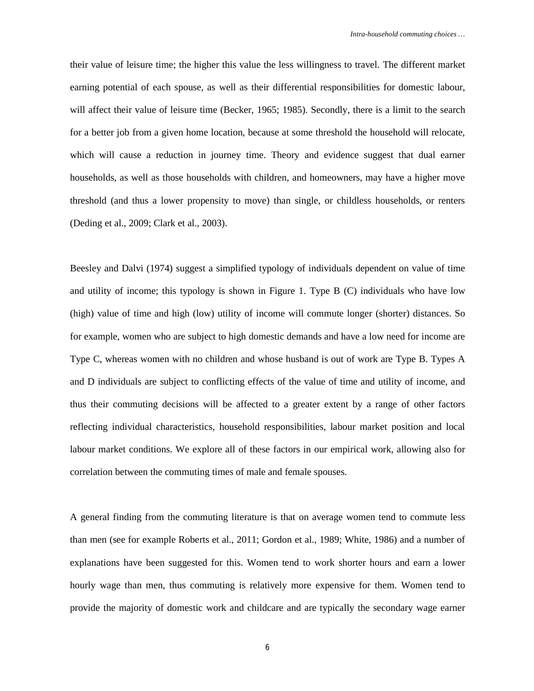their value of leisure time; the higher this value the less willingness to travel. The different market earning potential of each spouse, as well as their differential responsibilities for domestic labour, will affect their value of leisure time (Becker, 1965; 1985). Secondly, there is a limit to the search for a better job from a given home location, because at some threshold the household will relocate, which will cause a reduction in journey time. Theory and evidence suggest that dual earner households, as well as those households with children, and homeowners, may have a higher move threshold (and thus a lower propensity to move) than single, or childless households, or renters (Deding et al., 2009; Clark et al., 2003).

Beesley and Dalvi (1974) suggest a simplified typology of individuals dependent on value of time and utility of income; this typology is shown in Figure 1. Type B (C) individuals who have low (high) value of time and high (low) utility of income will commute longer (shorter) distances. So for example, women who are subject to high domestic demands and have a low need for income are Type C, whereas women with no children and whose husband is out of work are Type B. Types A and D individuals are subject to conflicting effects of the value of time and utility of income, and thus their commuting decisions will be affected to a greater extent by a range of other factors reflecting individual characteristics, household responsibilities, labour market position and local labour market conditions. We explore all of these factors in our empirical work, allowing also for correlation between the commuting times of male and female spouses.

A general finding from the commuting literature is that on average women tend to commute less than men (see for example Roberts et al., 2011; Gordon et al., 1989; White, 1986) and a number of explanations have been suggested for this. Women tend to work shorter hours and earn a lower hourly wage than men, thus commuting is relatively more expensive for them. Women tend to provide the majority of domestic work and childcare and are typically the secondary wage earner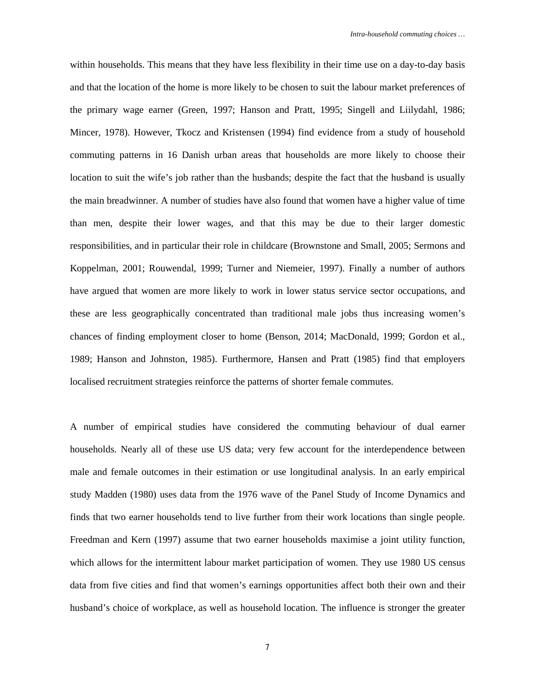within households. This means that they have less flexibility in their time use on a day-to-day basis and that the location of the home is more likely to be chosen to suit the labour market preferences of the primary wage earner (Green, 1997; Hanson and Pratt, 1995; Singell and Liilydahl, 1986; Mincer, 1978). However, Tkocz and Kristensen (1994) find evidence from a study of household commuting patterns in 16 Danish urban areas that households are more likely to choose their location to suit the wife's job rather than the husbands; despite the fact that the husband is usually the main breadwinner. A number of studies have also found that women have a higher value of time than men, despite their lower wages, and that this may be due to their larger domestic responsibilities, and in particular their role in childcare (Brownstone and Small, 2005; Sermons and Koppelman, 2001; Rouwendal, 1999; Turner and Niemeier, 1997). Finally a number of authors have argued that women are more likely to work in lower status service sector occupations, and these are less geographically concentrated than traditional male jobs thus increasing women's chances of finding employment closer to home (Benson, 2014; MacDonald, 1999; Gordon et al., 1989; Hanson and Johnston, 1985). Furthermore, Hansen and Pratt (1985) find that employers localised recruitment strategies reinforce the patterns of shorter female commutes.

A number of empirical studies have considered the commuting behaviour of dual earner households. Nearly all of these use US data; very few account for the interdependence between male and female outcomes in their estimation or use longitudinal analysis. In an early empirical study Madden (1980) uses data from the 1976 wave of the Panel Study of Income Dynamics and finds that two earner households tend to live further from their work locations than single people. Freedman and Kern (1997) assume that two earner households maximise a joint utility function, which allows for the intermittent labour market participation of women. They use 1980 US census data from five cities and find that women's earnings opportunities affect both their own and their husband's choice of workplace, as well as household location. The influence is stronger the greater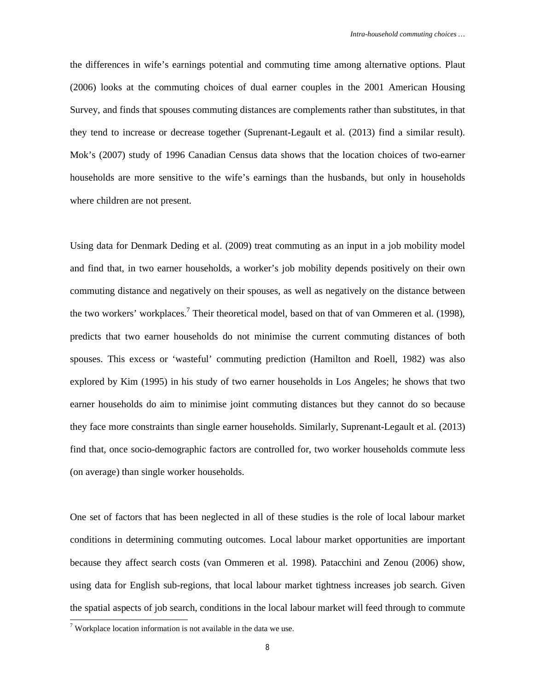the differences in wife's earnings potential and commuting time among alternative options. Plaut (2006) looks at the commuting choices of dual earner couples in the 2001 American Housing Survey, and finds that spouses commuting distances are complements rather than substitutes, in that they tend to increase or decrease together (Suprenant-Legault et al. (2013) find a similar result). Mok's (2007) study of 1996 Canadian Census data shows that the location choices of two-earner households are more sensitive to the wife's earnings than the husbands, but only in households where children are not present.

Using data for Denmark Deding et al. (2009) treat commuting as an input in a job mobility model and find that, in two earner households, a worker's job mobility depends positively on their own commuting distance and negatively on their spouses, as well as negatively on the distance between the two workers' workplaces.<sup>7</sup> Their theoretical model, based on that of van Ommeren et al. (1998), predicts that two earner households do not minimise the current commuting distances of both spouses. This excess or 'wasteful' commuting prediction (Hamilton and Roell, 1982) was also explored by Kim (1995) in his study of two earner households in Los Angeles; he shows that two earner households do aim to minimise joint commuting distances but they cannot do so because they face more constraints than single earner households. Similarly, Suprenant-Legault et al. (2013) find that, once socio-demographic factors are controlled for, two worker households commute less (on average) than single worker households.

One set of factors that has been neglected in all of these studies is the role of local labour market conditions in determining commuting outcomes. Local labour market opportunities are important because they affect search costs (van Ommeren et al. 1998). Patacchini and Zenou (2006) show, using data for English sub-regions, that local labour market tightness increases job search. Given the spatial aspects of job search, conditions in the local labour market will feed through to commute

<sup>&</sup>lt;sup>7</sup> Workplace location information is not available in the data we use.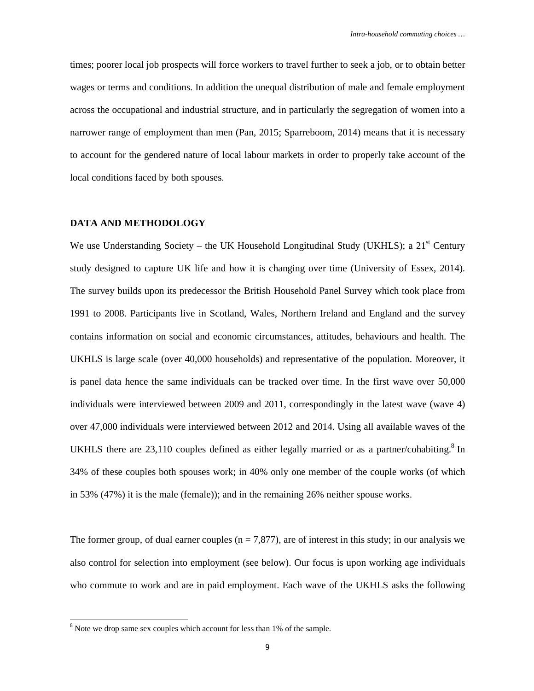times; poorer local job prospects will force workers to travel further to seek a job, or to obtain better wages or terms and conditions. In addition the unequal distribution of male and female employment across the occupational and industrial structure, and in particularly the segregation of women into a narrower range of employment than men (Pan, 2015; Sparreboom, 2014) means that it is necessary to account for the gendered nature of local labour markets in order to properly take account of the local conditions faced by both spouses.

#### **DATA AND METHODOLOGY**

We use Understanding Society – the UK Household Longitudinal Study (UKHLS); a  $21<sup>st</sup>$  Century study designed to capture UK life and how it is changing over time (University of Essex, 2014). The survey builds upon its predecessor the British Household Panel Survey which took place from 1991 to 2008. Participants live in Scotland, Wales, Northern Ireland and England and the survey contains information on social and economic circumstances, attitudes, behaviours and health. The UKHLS is large scale (over 40,000 households) and representative of the population. Moreover, it is panel data hence the same individuals can be tracked over time. In the first wave over 50,000 individuals were interviewed between 2009 and 2011, correspondingly in the latest wave (wave 4) over 47,000 individuals were interviewed between 2012 and 2014. Using all available waves of the UKHLS there are 23,110 couples defined as either legally married or as a partner/cohabiting.<sup>8</sup> In 34% of these couples both spouses work; in 40% only one member of the couple works (of which in 53% (47%) it is the male (female)); and in the remaining 26% neither spouse works.

The former group, of dual earner couples  $(n = 7,877)$ , are of interest in this study; in our analysis we also control for selection into employment (see below). Our focus is upon working age individuals who commute to work and are in paid employment. Each wave of the UKHLS asks the following

 $8$  Note we drop same sex couples which account for less than 1% of the sample.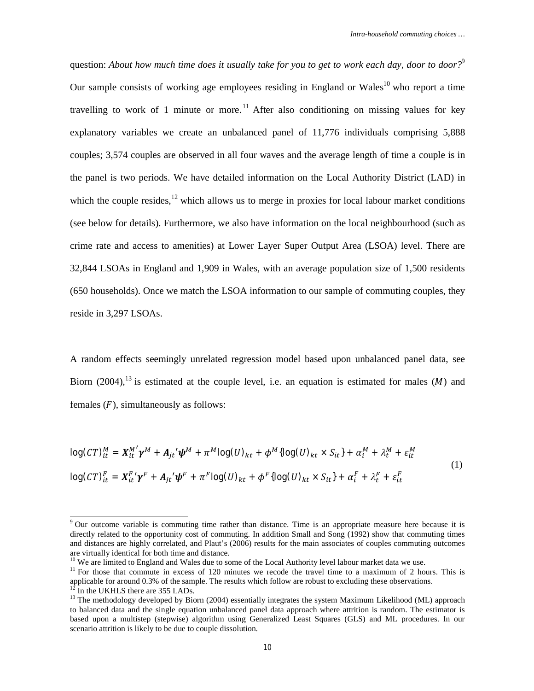question: About how much time does it usually take for you to get to work each day, door to door?<sup>9</sup> Our sample consists of working age employees residing in England or Wales<sup>10</sup> who report a time travelling to work of 1 minute or more.<sup>11</sup> After also conditioning on missing values for key explanatory variables we create an unbalanced panel of 11,776 individuals comprising 5,888 couples; 3,574 couples are observed in all four waves and the average length of time a couple is in the panel is two periods. We have detailed information on the Local Authority District (LAD) in which the couple resides, $12$  which allows us to merge in proxies for local labour market conditions (see below for details). Furthermore, we also have information on the local neighbourhood (such as crime rate and access to amenities) at Lower Layer Super Output Area (LSOA) level. There are 32,844 LSOAs in England and 1,909 in Wales, with an average population size of 1,500 residents (650 households). Once we match the LSOA information to our sample of commuting couples, they reside in 3,297 LSOAs.

A random effects seemingly unrelated regression model based upon unbalanced panel data, see Biorn (2004),<sup>13</sup> is estimated at the couple level, i.e. an equation is estimated for males (*M*) and females  $(F)$ , simultaneously as follows:

$$
\log (CT)_{it}^M = X_{it}^{M'} \gamma^M + A_{jt'} \psi^M + \pi^M \log(U)_{kt} + \phi^M \{ \log(U)_{kt} \times S_{it} \} + \alpha_i^M + \lambda_t^M + \varepsilon_{it}^M
$$
  

$$
\log (CT)_{it}^F = X_{it}^F \gamma^F + A_{jt'} \psi^F + \pi^F \log(U)_{kt} + \phi^F \{ \log(U)_{kt} \times S_{it} \} + \alpha_i^F + \lambda_t^F + \varepsilon_{it}^F
$$
 (1)

<sup>&</sup>lt;sup>9</sup> Our outcome variable is commuting time rather than distance. Time is an appropriate measure here because it is directly related to the opportunity cost of commuting. In addition Small and Song (1992) show that commuting times and distances are highly correlated, and Plaut's (2006) results for the main associates of couples commuting outcomes are virtually identical for both time and distance.

<sup>&</sup>lt;sup>10</sup> We are limited to England and Wales due to some of the Local Authority level labour market data we use.

<sup>&</sup>lt;sup>11</sup> For those that commute in excess of 120 minutes we recode the travel time to a maximum of 2 hours. This is applicable for around 0.3% of the sample. The results which follow are robust to excluding these observations.

In the UKHLS there are 355 LADs.

 $13$  The methodology developed by Biorn (2004) essentially integrates the system Maximum Likelihood (ML) approach to balanced data and the single equation unbalanced panel data approach where attrition is random. The estimator is based upon a multistep (stepwise) algorithm using Generalized Least Squares (GLS) and ML procedures. In our scenario attrition is likely to be due to couple dissolution.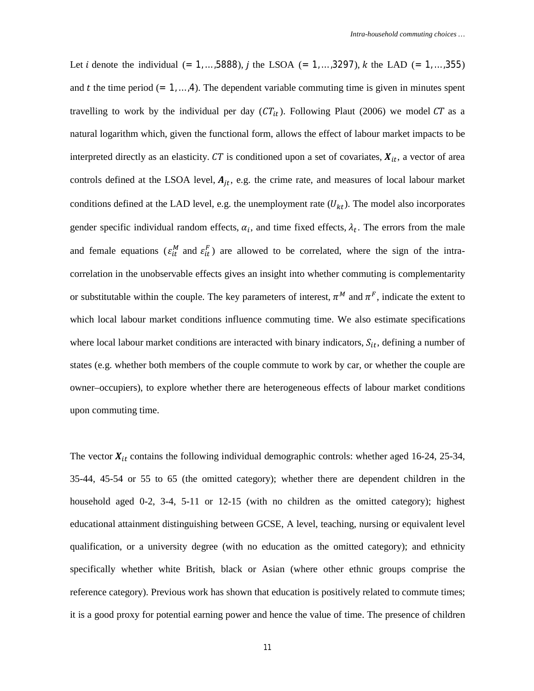Let *i* denote the individual  $(= 1, ..., 5888)$ , *j* the LSOA  $(= 1, ..., 3297)$ , *k* the LAD  $(= 1, ..., 355)$ and t the time period  $(= 1, \ldots, 4)$ . The dependent variable commuting time is given in minutes spent travelling to work by the individual per day  $(CT_{it})$ . Following Plaut (2006) we model CT as a natural logarithm which, given the functional form, allows the effect of labour market impacts to be interpreted directly as an elasticity.  $CT$  is conditioned upon a set of covariates,  $X_{it}$ , a vector of area controls defined at the LSOA level,  $A_{jt}$ , e.g. the crime rate, and measures of local labour market conditions defined at the LAD level, e.g. the unemployment rate  $(U_{kt})$ . The model also incorporates gender specific individual random effects,  $\alpha_i$ , and time fixed effects,  $\lambda_t$ . The errors from the male and female equations ( $\varepsilon_{it}^M$  and  $\varepsilon_{it}^F$ ) are allowed to be correlated, where the sign of the intracorrelation in the unobservable effects gives an insight into whether commuting is complementarity or substitutable within the couple. The key parameters of interest,  $\pi^M$  and  $\pi^F$ , indicate the extent to which local labour market conditions influence commuting time. We also estimate specifications where local labour market conditions are interacted with binary indicators,  $S_{it}$ , defining a number of states (e.g. whether both members of the couple commute to work by car, or whether the couple are owner–occupiers), to explore whether there are heterogeneous effects of labour market conditions upon commuting time.

The vector  $X_{it}$  contains the following individual demographic controls: whether aged 16-24, 25-34, 35-44, 45-54 or 55 to 65 (the omitted category); whether there are dependent children in the household aged 0-2, 3-4, 5-11 or 12-15 (with no children as the omitted category); highest educational attainment distinguishing between GCSE, A level, teaching, nursing or equivalent level qualification, or a university degree (with no education as the omitted category); and ethnicity specifically whether white British, black or Asian (where other ethnic groups comprise the reference category). Previous work has shown that education is positively related to commute times; it is a good proxy for potential earning power and hence the value of time. The presence of children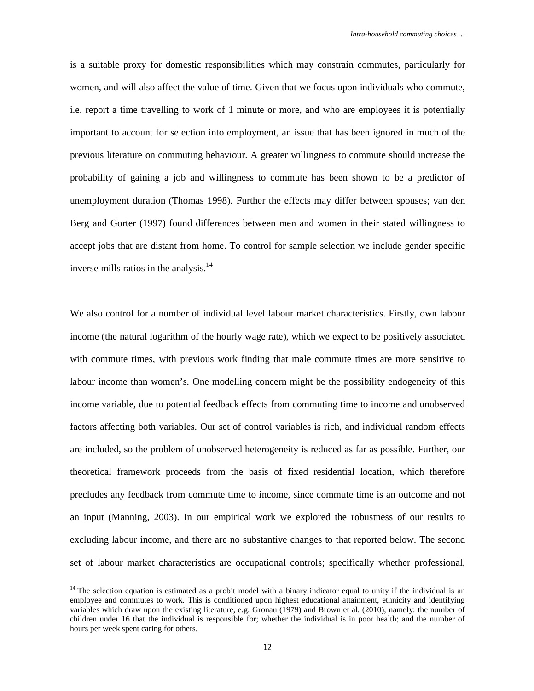is a suitable proxy for domestic responsibilities which may constrain commutes, particularly for women, and will also affect the value of time. Given that we focus upon individuals who commute, i.e. report a time travelling to work of 1 minute or more, and who are employees it is potentially important to account for selection into employment, an issue that has been ignored in much of the previous literature on commuting behaviour. A greater willingness to commute should increase the probability of gaining a job and willingness to commute has been shown to be a predictor of unemployment duration (Thomas 1998). Further the effects may differ between spouses; van den Berg and Gorter (1997) found differences between men and women in their stated willingness to accept jobs that are distant from home. To control for sample selection we include gender specific inverse mills ratios in the analysis.<sup>14</sup>

We also control for a number of individual level labour market characteristics. Firstly, own labour income (the natural logarithm of the hourly wage rate), which we expect to be positively associated with commute times, with previous work finding that male commute times are more sensitive to labour income than women's. One modelling concern might be the possibility endogeneity of this income variable, due to potential feedback effects from commuting time to income and unobserved factors affecting both variables. Our set of control variables is rich, and individual random effects are included, so the problem of unobserved heterogeneity is reduced as far as possible. Further, our theoretical framework proceeds from the basis of fixed residential location, which therefore precludes any feedback from commute time to income, since commute time is an outcome and not an input (Manning, 2003). In our empirical work we explored the robustness of our results to excluding labour income, and there are no substantive changes to that reported below. The second set of labour market characteristics are occupational controls; specifically whether professional,

 $14$  The selection equation is estimated as a probit model with a binary indicator equal to unity if the individual is an employee and commutes to work. This is conditioned upon highest educational attainment, ethnicity and identifying variables which draw upon the existing literature, e.g. Gronau (1979) and Brown et al. (2010), namely: the number of children under 16 that the individual is responsible for; whether the individual is in poor health; and the number of hours per week spent caring for others.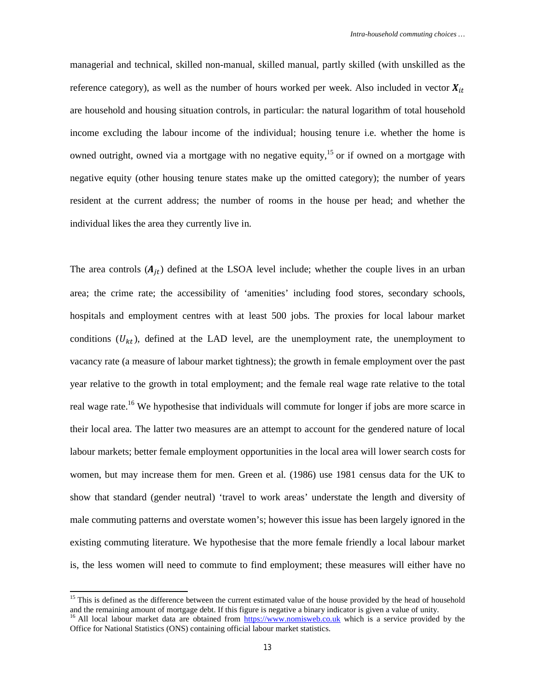managerial and technical, skilled non-manual, skilled manual, partly skilled (with unskilled as the reference category), as well as the number of hours worked per week. Also included in vector  $X_{it}$ are household and housing situation controls, in particular: the natural logarithm of total household income excluding the labour income of the individual; housing tenure i.e. whether the home is owned outright, owned via a mortgage with no negative equity,<sup>15</sup> or if owned on a mortgage with negative equity (other housing tenure states make up the omitted category); the number of years resident at the current address; the number of rooms in the house per head; and whether the individual likes the area they currently live in.

The area controls  $(A_{it})$  defined at the LSOA level include; whether the couple lives in an urban area; the crime rate; the accessibility of 'amenities' including food stores, secondary schools, hospitals and employment centres with at least 500 jobs. The proxies for local labour market conditions  $(U_{kt})$ , defined at the LAD level, are the unemployment rate, the unemployment to vacancy rate (a measure of labour market tightness); the growth in female employment over the past year relative to the growth in total employment; and the female real wage rate relative to the total real wage rate.<sup>16</sup> We hypothesise that individuals will commute for longer if jobs are more scarce in their local area. The latter two measures are an attempt to account for the gendered nature of local labour markets; better female employment opportunities in the local area will lower search costs for women, but may increase them for men. Green et al. (1986) use 1981 census data for the UK to show that standard (gender neutral) 'travel to work areas' understate the length and diversity of male commuting patterns and overstate women's; however this issue has been largely ignored in the existing commuting literature. We hypothesise that the more female friendly a local labour market is, the less women will need to commute to find employment; these measures will either have no

<sup>&</sup>lt;sup>15</sup> This is defined as the difference between the current estimated value of the house provided by the head of household and the remaining amount of mortgage debt. If this figure is negative a binary indicator is given a value of unity.

<sup>&</sup>lt;sup>16</sup> All local labour market data are obtained from <https://www.nomisweb.co.uk> which is a service provided by the Office for National Statistics (ONS) containing official labour market statistics.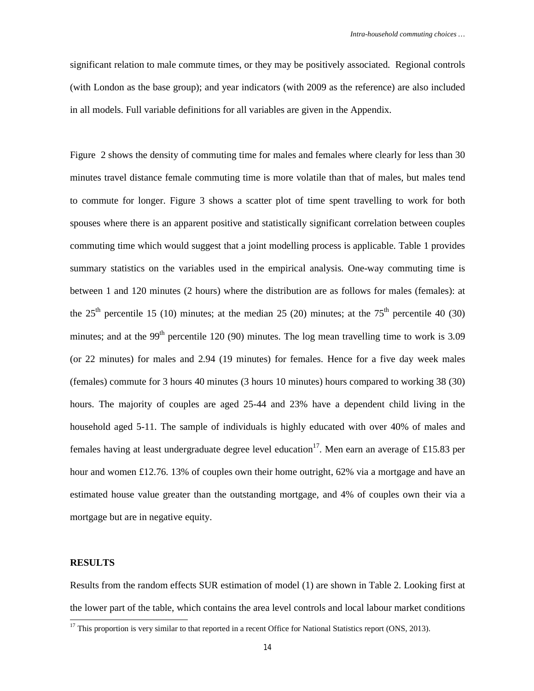significant relation to male commute times, or they may be positively associated. Regional controls (with London as the base group); and year indicators (with 2009 as the reference) are also included in all models. Full variable definitions for all variables are given in the Appendix.

Figure 2 shows the density of commuting time for males and females where clearly for less than 30 minutes travel distance female commuting time is more volatile than that of males, but males tend to commute for longer. Figure 3 shows a scatter plot of time spent travelling to work for both spouses where there is an apparent positive and statistically significant correlation between couples commuting time which would suggest that a joint modelling process is applicable. Table 1 provides summary statistics on the variables used in the empirical analysis. One-way commuting time is between 1 and 120 minutes (2 hours) where the distribution are as follows for males (females): at the  $25<sup>th</sup>$  percentile 15 (10) minutes; at the median 25 (20) minutes; at the  $75<sup>th</sup>$  percentile 40 (30) minutes; and at the 99<sup>th</sup> percentile 120 (90) minutes. The log mean travelling time to work is 3.09 (or 22 minutes) for males and 2.94 (19 minutes) for females. Hence for a five day week males (females) commute for 3 hours 40 minutes (3 hours 10 minutes) hours compared to working 38 (30) hours. The majority of couples are aged 25-44 and 23% have a dependent child living in the household aged 5-11. The sample of individuals is highly educated with over 40% of males and females having at least undergraduate degree level education<sup>17</sup>. Men earn an average of £15.83 per hour and women £12.76. 13% of couples own their home outright, 62% via a mortgage and have an estimated house value greater than the outstanding mortgage, and 4% of couples own their via a mortgage but are in negative equity.

#### **RESULTS**

 $\overline{a}$ 

Results from the random effects SUR estimation of model (1) are shown in Table 2. Looking first at the lower part of the table, which contains the area level controls and local labour market conditions

 $17$  This proportion is very similar to that reported in a recent Office for National Statistics report (ONS, 2013).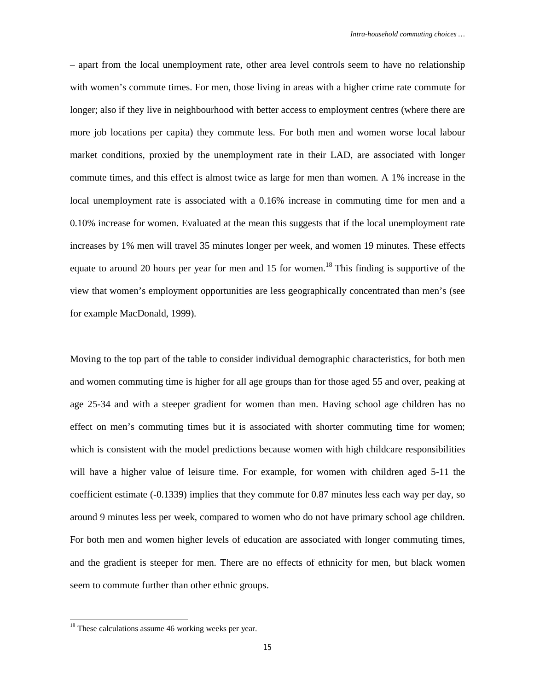– apart from the local unemployment rate, other area level controls seem to have no relationship with women's commute times. For men, those living in areas with a higher crime rate commute for longer; also if they live in neighbourhood with better access to employment centres (where there are more job locations per capita) they commute less. For both men and women worse local labour market conditions, proxied by the unemployment rate in their LAD, are associated with longer commute times, and this effect is almost twice as large for men than women. A 1% increase in the local unemployment rate is associated with a 0.16% increase in commuting time for men and a 0.10% increase for women. Evaluated at the mean this suggests that if the local unemployment rate increases by 1% men will travel 35 minutes longer per week, and women 19 minutes. These effects equate to around 20 hours per year for men and 15 for women.<sup>18</sup> This finding is supportive of the view that women's employment opportunities are less geographically concentrated than men's (see for example MacDonald, 1999).

Moving to the top part of the table to consider individual demographic characteristics, for both men and women commuting time is higher for all age groups than for those aged 55 and over, peaking at age 25-34 and with a steeper gradient for women than men. Having school age children has no effect on men's commuting times but it is associated with shorter commuting time for women; which is consistent with the model predictions because women with high childcare responsibilities will have a higher value of leisure time. For example, for women with children aged 5-11 the coefficient estimate (-0.1339) implies that they commute for 0.87 minutes less each way per day, so around 9 minutes less per week, compared to women who do not have primary school age children. For both men and women higher levels of education are associated with longer commuting times, and the gradient is steeper for men. There are no effects of ethnicity for men, but black women seem to commute further than other ethnic groups.

 $18$  These calculations assume 46 working weeks per year.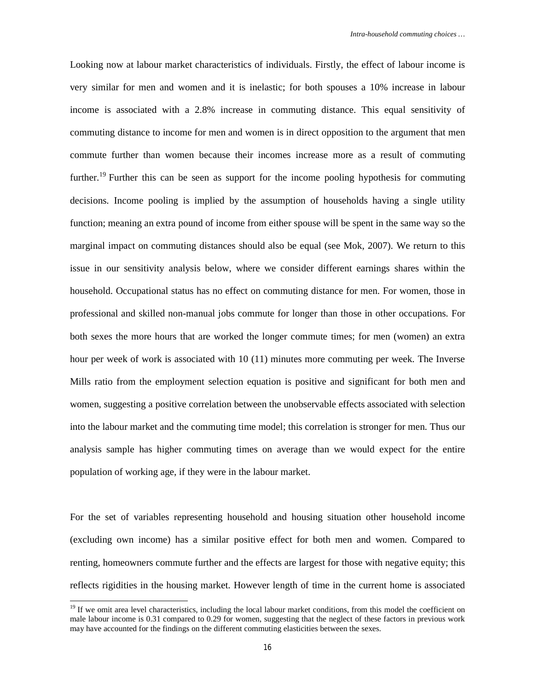Looking now at labour market characteristics of individuals. Firstly, the effect of labour income is very similar for men and women and it is inelastic; for both spouses a 10% increase in labour income is associated with a 2.8% increase in commuting distance. This equal sensitivity of commuting distance to income for men and women is in direct opposition to the argument that men commute further than women because their incomes increase more as a result of commuting further.<sup>19</sup> Further this can be seen as support for the income pooling hypothesis for commuting decisions. Income pooling is implied by the assumption of households having a single utility function; meaning an extra pound of income from either spouse will be spent in the same way so the marginal impact on commuting distances should also be equal (see Mok, 2007). We return to this issue in our sensitivity analysis below, where we consider different earnings shares within the household. Occupational status has no effect on commuting distance for men. For women, those in professional and skilled non-manual jobs commute for longer than those in other occupations. For both sexes the more hours that are worked the longer commute times; for men (women) an extra hour per week of work is associated with 10 (11) minutes more commuting per week. The Inverse Mills ratio from the employment selection equation is positive and significant for both men and women, suggesting a positive correlation between the unobservable effects associated with selection into the labour market and the commuting time model; this correlation is stronger for men. Thus our analysis sample has higher commuting times on average than we would expect for the entire population of working age, if they were in the labour market.

For the set of variables representing household and housing situation other household income (excluding own income) has a similar positive effect for both men and women. Compared to renting, homeowners commute further and the effects are largest for those with negative equity; this reflects rigidities in the housing market. However length of time in the current home is associated

<sup>&</sup>lt;sup>19</sup> If we omit area level characteristics, including the local labour market conditions, from this model the coefficient on male labour income is 0.31 compared to 0.29 for women, suggesting that the neglect of these factors in previous work may have accounted for the findings on the different commuting elasticities between the sexes.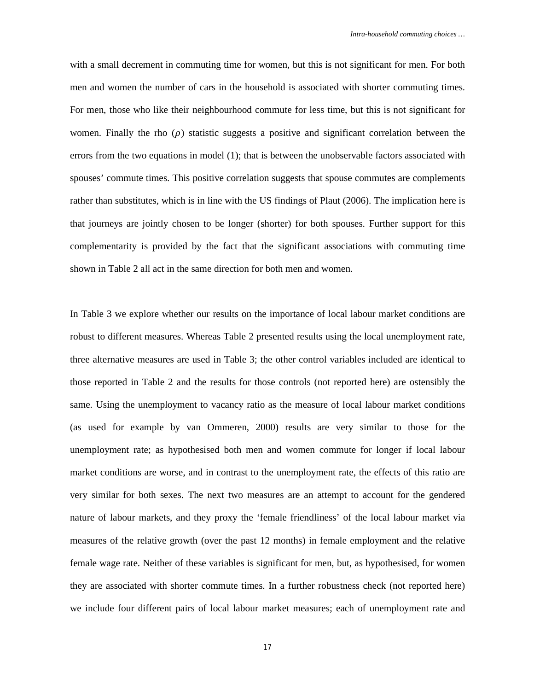with a small decrement in commuting time for women, but this is not significant for men. For both men and women the number of cars in the household is associated with shorter commuting times. For men, those who like their neighbourhood commute for less time, but this is not significant for women. Finally the rho  $(\rho)$  statistic suggests a positive and significant correlation between the errors from the two equations in model (1); that is between the unobservable factors associated with spouses' commute times. This positive correlation suggests that spouse commutes are complements rather than substitutes, which is in line with the US findings of Plaut (2006). The implication here is that journeys are jointly chosen to be longer (shorter) for both spouses. Further support for this complementarity is provided by the fact that the significant associations with commuting time shown in Table 2 all act in the same direction for both men and women.

In Table 3 we explore whether our results on the importance of local labour market conditions are robust to different measures. Whereas Table 2 presented results using the local unemployment rate, three alternative measures are used in Table 3; the other control variables included are identical to those reported in Table 2 and the results for those controls (not reported here) are ostensibly the same. Using the unemployment to vacancy ratio as the measure of local labour market conditions (as used for example by van Ommeren, 2000) results are very similar to those for the unemployment rate; as hypothesised both men and women commute for longer if local labour market conditions are worse, and in contrast to the unemployment rate, the effects of this ratio are very similar for both sexes. The next two measures are an attempt to account for the gendered nature of labour markets, and they proxy the 'female friendliness' of the local labour market via measures of the relative growth (over the past 12 months) in female employment and the relative female wage rate. Neither of these variables is significant for men, but, as hypothesised, for women they are associated with shorter commute times. In a further robustness check (not reported here) we include four different pairs of local labour market measures; each of unemployment rate and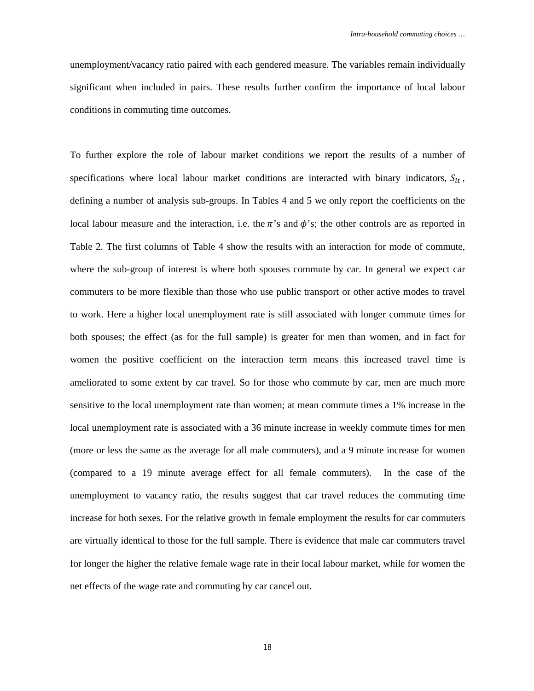unemployment/vacancy ratio paired with each gendered measure. The variables remain individually significant when included in pairs. These results further confirm the importance of local labour conditions in commuting time outcomes.

To further explore the role of labour market conditions we report the results of a number of specifications where local labour market conditions are interacted with binary indicators,  $S_{it}$ , defining a number of analysis sub-groups. In Tables 4 and 5 we only report the coefficients on the local labour measure and the interaction, i.e. the  $\pi$ 's and  $\phi$ 's; the other controls are as reported in Table 2. The first columns of Table 4 show the results with an interaction for mode of commute, where the sub-group of interest is where both spouses commute by car. In general we expect car commuters to be more flexible than those who use public transport or other active modes to travel to work. Here a higher local unemployment rate is still associated with longer commute times for both spouses; the effect (as for the full sample) is greater for men than women, and in fact for women the positive coefficient on the interaction term means this increased travel time is ameliorated to some extent by car travel. So for those who commute by car, men are much more sensitive to the local unemployment rate than women; at mean commute times a 1% increase in the local unemployment rate is associated with a 36 minute increase in weekly commute times for men (more or less the same as the average for all male commuters), and a 9 minute increase for women (compared to a 19 minute average effect for all female commuters). In the case of the unemployment to vacancy ratio, the results suggest that car travel reduces the commuting time increase for both sexes. For the relative growth in female employment the results for car commuters are virtually identical to those for the full sample. There is evidence that male car commuters travel for longer the higher the relative female wage rate in their local labour market, while for women the net effects of the wage rate and commuting by car cancel out.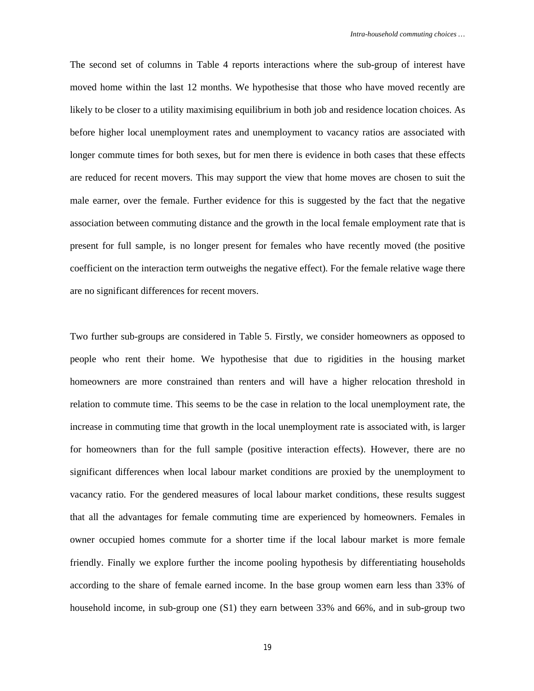The second set of columns in Table 4 reports interactions where the sub-group of interest have moved home within the last 12 months. We hypothesise that those who have moved recently are likely to be closer to a utility maximising equilibrium in both job and residence location choices. As before higher local unemployment rates and unemployment to vacancy ratios are associated with longer commute times for both sexes, but for men there is evidence in both cases that these effects are reduced for recent movers. This may support the view that home moves are chosen to suit the male earner, over the female. Further evidence for this is suggested by the fact that the negative association between commuting distance and the growth in the local female employment rate that is present for full sample, is no longer present for females who have recently moved (the positive coefficient on the interaction term outweighs the negative effect). For the female relative wage there are no significant differences for recent movers.

Two further sub-groups are considered in Table 5. Firstly, we consider homeowners as opposed to people who rent their home. We hypothesise that due to rigidities in the housing market homeowners are more constrained than renters and will have a higher relocation threshold in relation to commute time. This seems to be the case in relation to the local unemployment rate, the increase in commuting time that growth in the local unemployment rate is associated with, is larger for homeowners than for the full sample (positive interaction effects). However, there are no significant differences when local labour market conditions are proxied by the unemployment to vacancy ratio. For the gendered measures of local labour market conditions, these results suggest that all the advantages for female commuting time are experienced by homeowners. Females in owner occupied homes commute for a shorter time if the local labour market is more female friendly. Finally we explore further the income pooling hypothesis by differentiating households according to the share of female earned income. In the base group women earn less than 33% of household income, in sub-group one (S1) they earn between 33% and 66%, and in sub-group two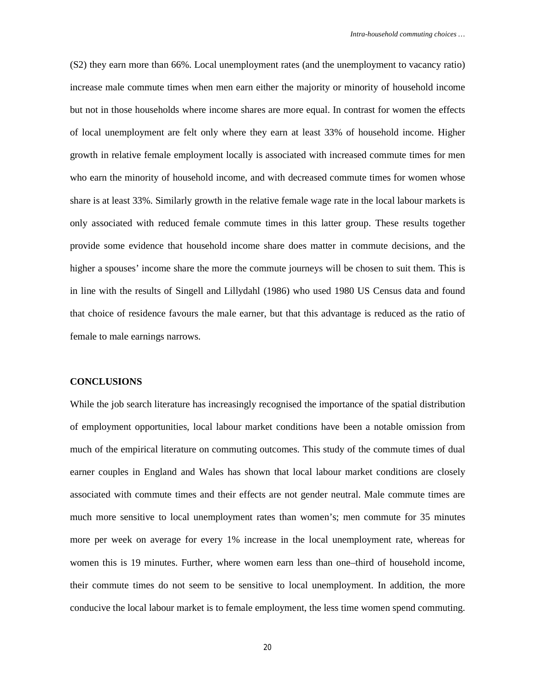(S2) they earn more than 66%. Local unemployment rates (and the unemployment to vacancy ratio) increase male commute times when men earn either the majority or minority of household income but not in those households where income shares are more equal. In contrast for women the effects of local unemployment are felt only where they earn at least 33% of household income. Higher growth in relative female employment locally is associated with increased commute times for men who earn the minority of household income, and with decreased commute times for women whose share is at least 33%. Similarly growth in the relative female wage rate in the local labour markets is only associated with reduced female commute times in this latter group. These results together provide some evidence that household income share does matter in commute decisions, and the higher a spouses' income share the more the commute journeys will be chosen to suit them. This is in line with the results of Singell and Lillydahl (1986) who used 1980 US Census data and found that choice of residence favours the male earner, but that this advantage is reduced as the ratio of female to male earnings narrows.

#### **CONCLUSIONS**

While the job search literature has increasingly recognised the importance of the spatial distribution of employment opportunities, local labour market conditions have been a notable omission from much of the empirical literature on commuting outcomes. This study of the commute times of dual earner couples in England and Wales has shown that local labour market conditions are closely associated with commute times and their effects are not gender neutral. Male commute times are much more sensitive to local unemployment rates than women's; men commute for 35 minutes more per week on average for every 1% increase in the local unemployment rate, whereas for women this is 19 minutes. Further, where women earn less than one–third of household income, their commute times do not seem to be sensitive to local unemployment. In addition, the more conducive the local labour market is to female employment, the less time women spend commuting.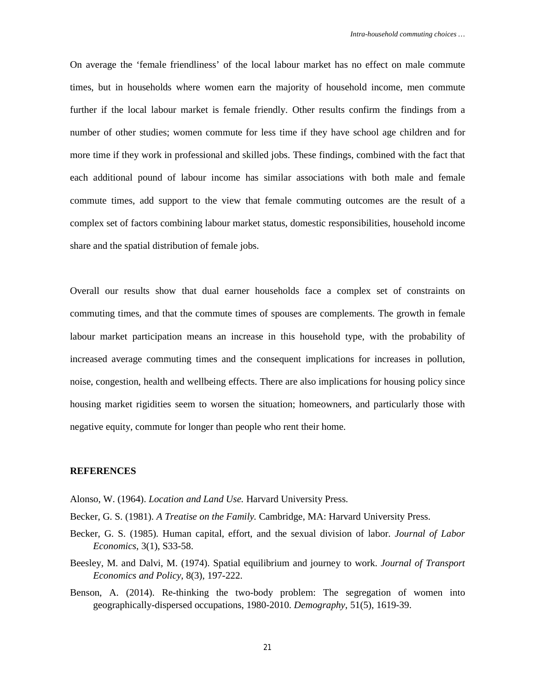On average the 'female friendliness' of the local labour market has no effect on male commute times, but in households where women earn the majority of household income, men commute further if the local labour market is female friendly. Other results confirm the findings from a number of other studies; women commute for less time if they have school age children and for more time if they work in professional and skilled jobs. These findings, combined with the fact that each additional pound of labour income has similar associations with both male and female commute times, add support to the view that female commuting outcomes are the result of a complex set of factors combining labour market status, domestic responsibilities, household income share and the spatial distribution of female jobs.

Overall our results show that dual earner households face a complex set of constraints on commuting times, and that the commute times of spouses are complements. The growth in female labour market participation means an increase in this household type, with the probability of increased average commuting times and the consequent implications for increases in pollution, noise, congestion, health and wellbeing effects. There are also implications for housing policy since housing market rigidities seem to worsen the situation; homeowners, and particularly those with negative equity, commute for longer than people who rent their home.

#### **REFERENCES**

- Alonso, W. (1964). *Location and Land Use.* Harvard University Press.
- Becker, G. S. (1981). *A Treatise on the Family.* Cambridge, MA: Harvard University Press.
- Becker, G. S. (1985). Human capital, effort, and the sexual division of labor. *Journal of Labor Economics*, 3(1), S33-58.
- Beesley, M. and Dalvi, M. (1974). Spatial equilibrium and journey to work. *Journal of Transport Economics and Policy*, 8(3), 197-222.
- Benson, A. (2014). Re-thinking the two-body problem: The segregation of women into geographically-dispersed occupations, 1980-2010. *Demography*, 51(5), 1619-39.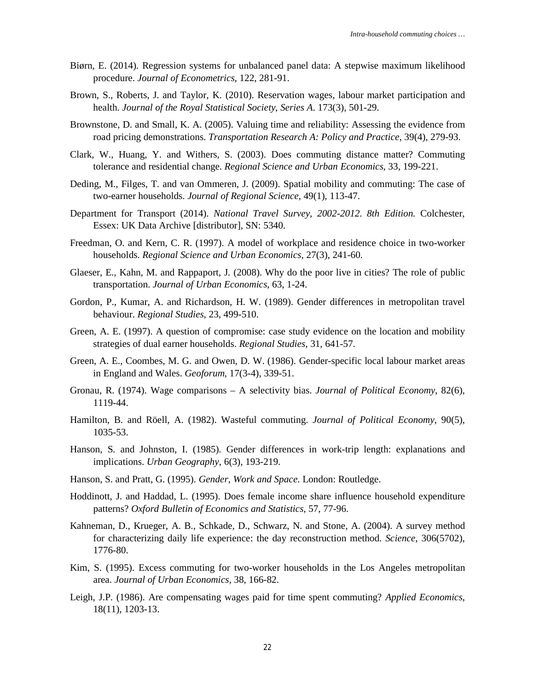- Biørn, E. (2014). Regression systems for unbalanced panel data: A stepwise maximum likelihood procedure. *Journal of Econometrics*, 122, 281-91.
- Brown, S., Roberts, J. and Taylor, K. (2010). Reservation wages, labour market participation and health. *Journal of the Royal Statistical Society*, *Series A*. 173(3), 501-29.
- Brownstone, D. and Small, K. A. (2005). Valuing time and reliability: Assessing the evidence from road pricing demonstrations. *Transportation Research A: Policy and Practice*, 39(4), 279-93.
- Clark, W., Huang, Y. and Withers, S. (2003). Does commuting distance matter? Commuting tolerance and residential change. *Regional Science and Urban Economics*, 33, 199-221.
- Deding, M., Filges, T. and van Ommeren, J. (2009). Spatial mobility and commuting: The case of two-earner households. *Journal of Regional Science*, 49(1), 113-47.
- Department for Transport (2014). *National Travel Survey, 2002-2012*. *8th Edition.* Colchester, Essex: UK Data Archive [distributor], SN: 5340.
- Freedman, O. and Kern, C. R. (1997). A model of workplace and residence choice in two-worker households. *Regional Science and Urban Economics*, 27(3), 241-60.
- Glaeser, E., Kahn, M. and Rappaport, J. (2008). Why do the poor live in cities? The role of public transportation. *Journal of Urban Economics*, 63, 1-24.
- Gordon, P., Kumar, A. and Richardson, H. W. (1989). Gender differences in metropolitan travel behaviour. *Regional Studies*, 23, 499-510.
- Green, A. E. (1997). A question of compromise: case study evidence on the location and mobility strategies of dual earner households. *Regional Studies*, 31, 641-57.
- Green, A. E., Coombes, M. G. and Owen, D. W. (1986). Gender-specific local labour market areas in England and Wales. *Geoforum*, 17(3-4), 339-51.
- Gronau, R. (1974). Wage comparisons A selectivity bias. *Journal of Political Economy*, 82(6), 1119-44.
- Hamilton, B. and Röell, A. (1982). Wasteful commuting. *Journal of Political Economy*, 90(5), 1035-53.
- Hanson, S. and Johnston, I. (1985). Gender differences in work-trip length: explanations and implications. *Urban Geography*, 6(3), 193-219.
- Hanson, S. and Pratt, G. (1995). *Gender, Work and Space*. London: Routledge.
- Hoddinott, J. and Haddad, L. (1995). Does female income share influence household expenditure patterns? *Oxford Bulletin of Economics and Statistics*, 57, 77-96.
- Kahneman, D., Krueger, A. B., Schkade, D., Schwarz, N. and Stone, A. (2004). A survey method for characterizing daily life experience: the day reconstruction method. *Science*, 306(5702), 1776-80.
- Kim, S. (1995). Excess commuting for two-worker households in the Los Angeles metropolitan area. *Journal of Urban Economics*, 38, 166-82.
- Leigh, J.P. (1986). Are compensating wages paid for time spent commuting? *Applied Economics*, 18(11), 1203-13.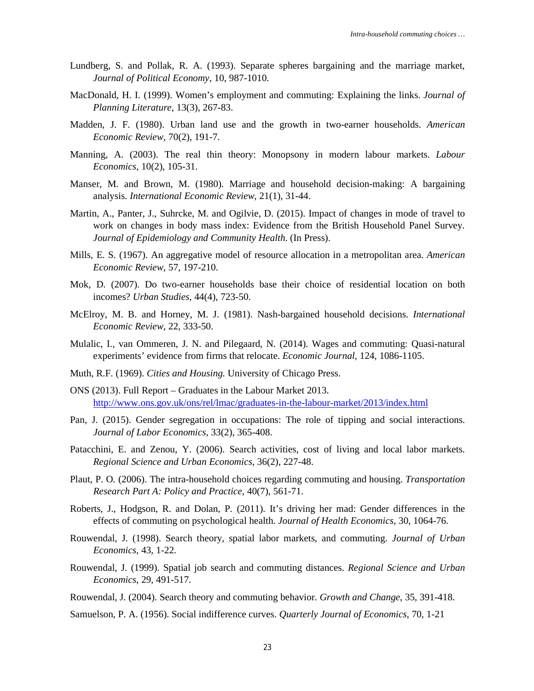- Lundberg, S. and Pollak, R. A. (1993). Separate spheres bargaining and the marriage market, *Journal of Political Economy*, 10, 987-1010.
- MacDonald, H. I. (1999). Women's employment and commuting: Explaining the links. *Journal of Planning Literature*, 13(3), 267-83.
- Madden, J. F. (1980). Urban land use and the growth in two-earner households. *American Economic Review*, 70(2), 191-7.
- Manning, A. (2003). The real thin theory: Monopsony in modern labour markets. *Labour Economics*, 10(2), 105-31.
- Manser, M. and Brown, M. (1980). Marriage and household decision-making: A bargaining analysis. *International Economic Review*, 21(1), 31-44.
- Martin, A., Panter, J., Suhrcke, M. and Ogilvie, D. (2015). Impact of changes in mode of travel to work on changes in body mass index: Evidence from the British Household Panel Survey. *Journal of Epidemiology and Community Health*. (In Press).
- Mills, E. S. (1967). An aggregative model of resource allocation in a metropolitan area. *American Economic Review*, 57, 197-210.
- Mok, D. (2007). Do two-earner households base their choice of residential location on both incomes? *Urban Studies*, 44(4), 723-50.
- McElroy, M. B. and Horney, M. J. (1981). Nash-bargained household decisions. *International Economic Review*, 22, 333-50.
- Mulalic, I., van Ommeren, J. N. and Pilegaard, N. (2014). Wages and commuting: Quasi-natural experiments' evidence from firms that relocate. *Economic Journal*, 124, 1086-1105.
- Muth, R.F. (1969). *Cities and Housing.* University of Chicago Press.
- ONS (2013). Full Report Graduates in the Labour Market 2013. <http://www.ons.gov.uk/ons/rel/lmac/graduates-in-the-labour-market/2013/index.html>
- Pan, J. (2015). Gender segregation in occupations: The role of tipping and social interactions. *Journal of Labor Economics*, 33(2), 365-408.
- Patacchini, E. and Zenou, Y. (2006). Search activities, cost of living and local labor markets. *Regional Science and Urban Economics*, 36(2), 227-48.
- Plaut, P. O. (2006). The intra-household choices regarding commuting and housing. *Transportation Research Part A: Policy and Practice*, 40(7), 561-71.
- Roberts, J., Hodgson, R. and Dolan, P. (2011). It's driving her mad: Gender differences in the effects of commuting on psychological health. *Journal of Health Economics*, 30, 1064-76.
- Rouwendal, J. (1998). Search theory, spatial labor markets, and commuting. *Journal of Urban Economics*, 43, 1-22.
- Rouwendal, J. (1999). Spatial job search and commuting distances. *Regional Science and Urban Economics*, 29, 491-517.
- Rouwendal, J. (2004). Search theory and commuting behavior. *Growth and Change*, 35, 391-418.
- Samuelson, P. A. (1956). Social indifference curves. *Quarterly Journal of Economics*, 70, 1-21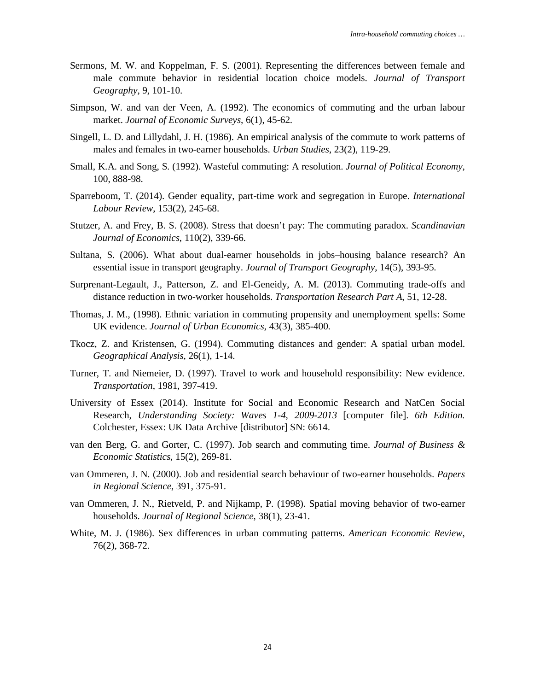- Sermons, M. W. and Koppelman, F. S. (2001). Representing the differences between female and male commute behavior in residential location choice models. *Journal of Transport Geography*, 9, 101-10.
- Simpson, W. and van der Veen, A. (1992). The economics of commuting and the urban labour market. *Journal of Economic Surveys*, 6(1), 45-62.
- Singell, L. D. and Lillydahl, J. H. (1986). An empirical analysis of the commute to work patterns of males and females in two-earner households. *Urban Studies*, 23(2), 119-29.
- Small, K.A. and Song, S. (1992). Wasteful commuting: A resolution. *Journal of Political Economy*, 100, 888-98.
- Sparreboom, T. (2014). Gender equality, part-time work and segregation in Europe. *International Labour Review*, 153(2), 245-68.
- Stutzer, A. and Frey, B. S. (2008). Stress that doesn't pay: The commuting paradox. *Scandinavian Journal of Economics*, 110(2), 339-66.
- Sultana, S. (2006). What about dual-earner households in jobs–housing balance research? An essential issue in transport geography. *Journal of Transport Geography*, 14(5), 393-95.
- Surprenant-Legault, J., Patterson, Z. and El-Geneidy, A. M. (2013). Commuting trade-offs and distance reduction in two-worker households. *Transportation Research Part A*, 51, 12-28.
- Thomas, J. M., (1998). Ethnic variation in commuting propensity and unemployment spells: Some UK evidence. *Journal of Urban Economics*, 43(3), 385-400.
- Tkocz, Z. and Kristensen, G. (1994). Commuting distances and gender: A spatial urban model. *Geographical Analysis*, 26(1), 1-14.
- Turner, T. and Niemeier, D. (1997). Travel to work and household responsibility: New evidence. *Transportation*, 1981, 397-419.
- University of Essex (2014). Institute for Social and Economic Research and NatCen Social Research, *Understanding Society: Waves 1-4, 2009-2013* [computer file]. *6th Edition.* Colchester, Essex: UK Data Archive [distributor] SN: 6614.
- van den Berg, G. and Gorter, C. (1997). Job search and commuting time. *Journal of Business & Economic Statistics*, 15(2), 269-81.
- van Ommeren, J. N. (2000). Job and residential search behaviour of two-earner households. *Papers in Regional Science*, 391, 375-91.
- van Ommeren, J. N., Rietveld, P. and Nijkamp, P. (1998). Spatial moving behavior of two-earner households. *Journal of Regional Science*, 38(1), 23-41.
- White, M. J. (1986). Sex differences in urban commuting patterns. *American Economic Review*, 76(2), 368-72.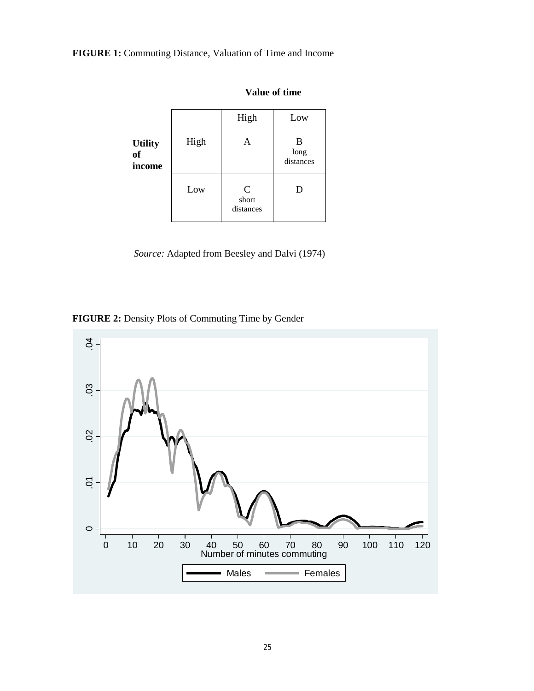**FIGURE 1:** Commuting Distance, Valuation of Time and Income

|                                           |      | High                              | Low                    |
|-------------------------------------------|------|-----------------------------------|------------------------|
| <b>Utility</b><br><sub>of</sub><br>income | High | Α                                 | B<br>long<br>distances |
|                                           | Low  | $\mathbf C$<br>short<br>distances | D                      |

**Value of time** 

*Source:* Adapted from Beesley and Dalvi (1974)

**FIGURE 2:** Density Plots of Commuting Time by Gender

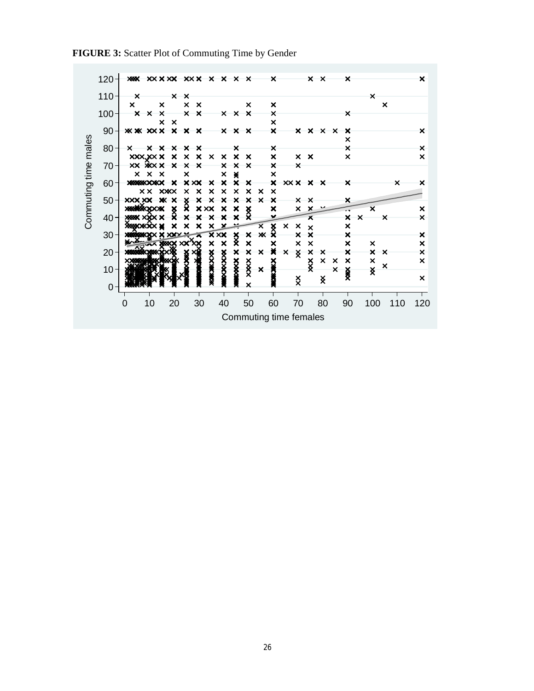|                      | 120:            | <b>XXX</b>                |                                                          |                           | XXXXX XXX X X X                 |                                                      |                           |                                                        | $\mathsf{x}$                     |                           | $\boldsymbol{\mathsf{x}}$                              |                           |                                  |                                             | $\times$ $\times$         |                         | $\times$                       |                                |                           |                           | ×                         |
|----------------------|-----------------|---------------------------|----------------------------------------------------------|---------------------------|---------------------------------|------------------------------------------------------|---------------------------|--------------------------------------------------------|----------------------------------|---------------------------|--------------------------------------------------------|---------------------------|----------------------------------|---------------------------------------------|---------------------------|-------------------------|--------------------------------|--------------------------------|---------------------------|---------------------------|---------------------------|
|                      | $110 -$         | $\times$                  |                                                          | $\times$                  | $\times$                        |                                                      |                           |                                                        |                                  |                           |                                                        |                           |                                  |                                             |                           |                         |                                | ×                              |                           |                           |                           |
|                      |                 | $\boldsymbol{\mathsf{x}}$ | ×                                                        |                           | $\boldsymbol{\mathsf{x}}$       | $\boldsymbol{\mathsf{x}}$                            |                           |                                                        | ×                                |                           | ×                                                      |                           |                                  |                                             |                           |                         |                                |                                | $\boldsymbol{\mathsf{x}}$ |                           |                           |
|                      | $100 -$         | $\boldsymbol{\mathsf{x}}$ | $\times$<br>$\boldsymbol{\mathsf{x}}$                    |                           | $\times$                        | $\times$                                             |                           | $x \times$                                             | $\boldsymbol{\mathsf{x}}$        |                           | $\times$                                               |                           |                                  |                                             |                           |                         | ×                              |                                |                           |                           |                           |
|                      |                 |                           | $\boldsymbol{\mathsf{x}}$<br><b><i>XX XX X X X X</i></b> | $\boldsymbol{\mathsf{x}}$ |                                 |                                                      |                           |                                                        | ×                                |                           | $\boldsymbol{\mathsf{x}}$<br>$\boldsymbol{\mathsf{x}}$ |                           | $\mathsf{x}$                     |                                             | $X \times X$              |                         | ×                              |                                |                           |                           | ×                         |
|                      | $90 -$          |                           |                                                          |                           |                                 |                                                      |                           | $\times$ $\times$                                      |                                  |                           |                                                        |                           |                                  |                                             |                           |                         | ×                              |                                |                           |                           |                           |
|                      | $80 -$          | $\times$                  | $\times$ $\times$                                        | $\boldsymbol{\mathsf{x}}$ | $\times$                        | ×                                                    |                           | ×                                                      |                                  |                           | ×                                                      |                           |                                  |                                             |                           |                         | $\times$                       |                                |                           |                           | $\times$                  |
|                      |                 |                           | XXX, XXXX                                                | $\boldsymbol{\mathsf{x}}$ | $\boldsymbol{\mathsf{x}}$       | $\times$<br>$\boldsymbol{\mathsf{x}}$                | ×                         | ×                                                      | ×                                |                           | ×                                                      |                           | $\times$                         | $\boldsymbol{\mathsf{x}}$                   |                           |                         | $\boldsymbol{\mathsf{x}}$      |                                |                           |                           | ×                         |
|                      | $70 -$          |                           | XX XXX X                                                 | $\boldsymbol{\mathsf{x}}$ | $\times$                        | $\times$                                             | ×                         | $\times$                                               | $\boldsymbol{\mathsf{x}}$        |                           | $\times$                                               |                           | $\times$                         |                                             |                           |                         |                                |                                |                           |                           |                           |
|                      |                 | $\mathsf{x}$              | $\mathsf{x}$<br>$\times$                                 |                           | ×                               |                                                      | ×                         | ☀                                                      |                                  |                           | ×                                                      |                           |                                  |                                             |                           |                         |                                |                                |                           |                           |                           |
| Commuting time males | $60 -$          |                           | <b>XXXXXXXXXX</b><br>x x                                 | ×<br><b>XXXX</b>          | <b>XXX</b><br>×                 | ×<br>×<br>$\times$                                   | ×<br>$\pmb{\times}$       | $\boldsymbol{\mathsf{x}}$<br>$\boldsymbol{\mathsf{x}}$ | ×<br>$\boldsymbol{\mathsf{x}}$ . | $\boldsymbol{\mathsf{x}}$ | $\boldsymbol{\mathsf{x}}$<br>$\boldsymbol{\mathsf{x}}$ |                           | XXX X X                          |                                             |                           |                         | $\boldsymbol{\mathsf{x}}$      |                                |                           | $\boldsymbol{\mathsf{x}}$ | $\boldsymbol{\mathsf{x}}$ |
|                      | $50 -$          | XXX XX                    |                                                          | Ж<br>×                    |                                 | $\pmb{\times}$<br>$\times$                           | $\boldsymbol{\mathsf{x}}$ | $\boldsymbol{\mathsf{x}}$                              | $\boldsymbol{\mathsf{x}}$        | $\boldsymbol{\mathsf{x}}$ | ×                                                      |                           | $\times$                         | $\times$                                    |                           |                         | ×                              |                                |                           |                           |                           |
|                      |                 |                           |                                                          | $\frac{\times}{\times}$   | $\frac{\mathsf{x}}{\mathsf{x}}$ | $X$ XX                                               | $\boldsymbol{\mathsf{x}}$ | ×                                                      | $\frac{\times}{\times}$          |                           | ×                                                      |                           | $\boldsymbol{\mathsf{x}}$        | ×                                           |                           |                         |                                | $\overline{\mathsf{x}}$        |                           |                           | ×                         |
|                      | - 40            |                           |                                                          |                           | ×                               | ×<br>$\boldsymbol{\mathsf{x}}$                       | $\boldsymbol{\mathsf{x}}$ | $\boldsymbol{\mathsf{x}}$                              |                                  |                           |                                                        |                           |                                  | Х                                           |                           |                         | $\boldsymbol{\mathsf{x}}$      | $\boldsymbol{\mathsf{x}}$      | $\times$                  |                           | $\boldsymbol{\mathsf{x}}$ |
|                      |                 |                           |                                                          | ×                         | ×                               | $\overline{\mathsf{x}}$<br>$\boldsymbol{\mathsf{x}}$ | $\mathbf x$               |                                                        |                                  | $\overline{\mathsf{x}}$   | $x \times$                                             | $\boldsymbol{\mathsf{x}}$ | ×                                | $\boldsymbol{\mathsf{x}}$                   |                           |                         | $\pmb{\times}$                 |                                |                           |                           |                           |
|                      | 30 <sup>1</sup> |                           |                                                          |                           |                                 |                                                      | <b>XXX</b>                | $\frac{1}{2}$                                          | ×<br>×                           | Ж                         |                                                        |                           | $\overline{\mathsf{x}}$          | $\boldsymbol{\mathsf{x}}$<br>$\pmb{\times}$ |                           |                         | $\boldsymbol{\mathsf{x}}$<br>× |                                |                           |                           | ×<br>×                    |
|                      | $20 -$          |                           |                                                          |                           |                                 | ×                                                    | ×                         |                                                        | $\boldsymbol{\mathsf{x}}$        | $\times$                  | ×<br>×                                                 | $\times$                  | $\times$<br>$\check{\mathsf{x}}$ | ×                                           | ×                         |                         | $\boldsymbol{\mathsf{x}}$      | ×<br>$\boldsymbol{\mathsf{x}}$ | $\times$                  |                           | ×                         |
|                      |                 |                           |                                                          |                           |                                 | <b>XXXX</b>                                          | <b>XXXXXX</b>             | <b>XXXXXX</b>                                          |                                  |                           |                                                        |                           |                                  |                                             | $\boldsymbol{\mathsf{x}}$ | ×                       | $\pmb{\times}$                 | $\pmb{\times}$                 |                           |                           | ×                         |
|                      | $10 -$          |                           |                                                          |                           |                                 |                                                      |                           |                                                        | XXXX                             | $\boldsymbol{\mathsf{x}}$ | XXX                                                    |                           |                                  | $\frac{x}{x}$                               |                           | $\overline{\mathsf{x}}$ | 姿                              | x                              | $\times$                  |                           |                           |
|                      |                 |                           |                                                          |                           |                                 |                                                      |                           |                                                        |                                  |                           |                                                        |                           | $\check{\mathsf{x}}$             |                                             | x                         |                         |                                |                                |                           |                           | $\boldsymbol{\mathsf{x}}$ |
|                      | $\Omega$        |                           |                                                          |                           |                                 |                                                      |                           |                                                        | ×                                |                           |                                                        |                           |                                  |                                             |                           |                         |                                |                                |                           |                           |                           |
|                      |                 | 0                         | 10                                                       | 20                        |                                 | 30                                                   | 40                        |                                                        | 50                               |                           | 60                                                     |                           | 70                               |                                             | 80                        |                         | 90                             | 100                            |                           | 110                       | 120                       |
|                      |                 |                           |                                                          |                           |                                 |                                                      |                           |                                                        |                                  |                           |                                                        |                           |                                  |                                             |                           |                         |                                |                                |                           |                           |                           |
|                      |                 |                           |                                                          |                           |                                 |                                                      |                           |                                                        | Commuting time females           |                           |                                                        |                           |                                  |                                             |                           |                         |                                |                                |                           |                           |                           |

**FIGURE 3:** Scatter Plot of Commuting Time by Gender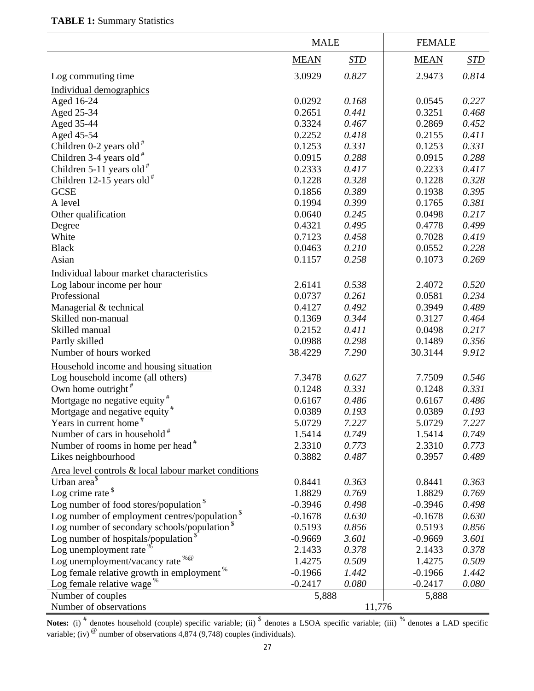|                                                          | <b>MALE</b> |            | <b>FEMALE</b> |            |
|----------------------------------------------------------|-------------|------------|---------------|------------|
|                                                          | <b>MEAN</b> | <b>STD</b> | <b>MEAN</b>   | <u>STD</u> |
| Log commuting time                                       | 3.0929      | 0.827      | 2.9473        | 0.814      |
| Individual demographics                                  |             |            |               |            |
| Aged 16-24                                               | 0.0292      | 0.168      | 0.0545        | 0.227      |
| Aged 25-34                                               | 0.2651      | 0.441      | 0.3251        | 0.468      |
| Aged 35-44                                               | 0.3324      | 0.467      | 0.2869        | 0.452      |
| Aged 45-54                                               | 0.2252      | 0.418      | 0.2155        | 0.411      |
| Children $0-2$ years old $#$                             | 0.1253      | 0.331      | 0.1253        | 0.331      |
| Children 3-4 years old $#$                               | 0.0915      | 0.288      | 0.0915        | 0.288      |
| Children 5-11 years old $*$                              | 0.2333      | 0.417      | 0.2233        | 0.417      |
| Children 12-15 years old $#$                             | 0.1228      | 0.328      | 0.1228        | 0.328      |
| <b>GCSE</b>                                              | 0.1856      | 0.389      | 0.1938        | 0.395      |
| A level                                                  | 0.1994      | 0.399      | 0.1765        | 0.381      |
| Other qualification                                      | 0.0640      | 0.245      | 0.0498        | 0.217      |
| Degree                                                   | 0.4321      | 0.495      | 0.4778        | 0.499      |
| White                                                    | 0.7123      | 0.458      | 0.7028        | 0.419      |
| <b>Black</b>                                             | 0.0463      | 0.210      | 0.0552        | 0.228      |
| Asian                                                    | 0.1157      | 0.258      | 0.1073        | 0.269      |
| Individual labour market characteristics                 |             |            |               |            |
|                                                          | 2.6141      | 0.538      | 2.4072        | 0.520      |
| Log labour income per hour<br>Professional               | 0.0737      | 0.261      | 0.0581        | 0.234      |
|                                                          | 0.4127      | 0.492      | 0.3949        | 0.489      |
| Managerial & technical<br>Skilled non-manual             | 0.1369      | 0.344      | 0.3127        | 0.464      |
| Skilled manual                                           | 0.2152      | 0.411      | 0.0498        | 0.217      |
|                                                          | 0.0988      | 0.298      | 0.1489        | 0.356      |
| Partly skilled                                           |             | 7.290      |               | 9.912      |
| Number of hours worked                                   | 38.4229     |            | 30.3144       |            |
| Household income and housing situation                   |             |            |               |            |
| Log household income (all others)                        | 7.3478      | 0.627      | 7.7509        | 0.546      |
| Own home outright $*$                                    | 0.1248      | 0.331      | 0.1248        | 0.331      |
| Mortgage no negative equity <sup>#</sup>                 | 0.6167      | 0.486      | 0.6167        | 0.486      |
| Mortgage and negative equity <sup>#</sup>                | 0.0389      | 0.193      | 0.0389        | 0.193      |
| Years in current home                                    | 5.0729      | 7.227      | 5.0729        | 7.227      |
| Number of cars in household <sup>#</sup>                 | 1.5414      | 0.749      | 1.5414        | 0.749      |
| Number of rooms in home per head <sup>#</sup>            | 2.3310      | 0.773      | 2.3310        | 0.773      |
| Likes neighbourhood                                      | 0.3882      | 0.487      | 0.3957        | 0.489      |
| Area level controls & local labour market conditions     |             |            |               |            |
| Urban area <sup>§</sup>                                  | 0.8441      | 0.363      | 0.8441        | 0.363      |
| Log crime rate $\delta$                                  | 1.8829      | 0.769      | 1.8829        | 0.769      |
| Log number of food stores/population <sup>\$</sup>       | $-0.3946$   | 0.498      | $-0.3946$     | 0.498      |
| Log number of employment centres/population <sup>3</sup> | $-0.1678$   | 0.630      | $-0.1678$     | 0.630      |
| Log number of secondary schools/population $\delta$      | 0.5193      | 0.856      | 0.5193        | 0.856      |
| Log number of hospitals/population $\delta$              | $-0.9669$   | 3.601      | $-0.9669$     | 3.601      |
| Log unemployment rate <sup>%</sup>                       | 2.1433      | 0.378      | 2.1433        | 0.378      |
| Log unemployment/vacancy rate <sup>%@</sup>              | 1.4275      | 0.509      | 1.4275        | 0.509      |
| Log female relative growth in employment <sup>%</sup>    | $-0.1966$   | 1.442      | $-0.1966$     | 1.442      |
| Log female relative wage $\%$                            | $-0.2417$   | 0.080      | $-0.2417$     | 0.080      |
| Number of couples                                        | 5,888       |            | 5,888         |            |
| Number of observations                                   |             | 11,776     |               |            |

**Notes:** (i)  $*$  denotes household (couple) specific variable; (ii)  $*$  denotes a LSOA specific variable; (iii)  $*$  denotes a LAD specific variable; (iv)  $^{\circ\circ}$  number of observations 4,874 (9,748) couples (individuals).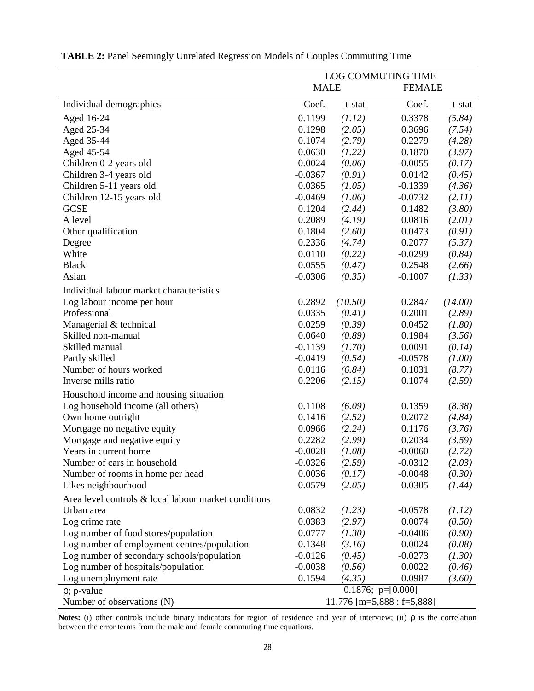|                                                      | LOG COMMUTING TIME           |         |                            |         |  |  |
|------------------------------------------------------|------------------------------|---------|----------------------------|---------|--|--|
|                                                      | <b>MALE</b><br><b>FEMALE</b> |         |                            |         |  |  |
| Individual demographics                              | Coef.                        | t-stat  | Coef.                      | t-stat  |  |  |
| Aged 16-24                                           | 0.1199                       | (1.12)  | 0.3378                     | (5.84)  |  |  |
| Aged 25-34                                           | 0.1298                       | (2.05)  | 0.3696                     | (7.54)  |  |  |
| Aged 35-44                                           | 0.1074                       | (2.79)  | 0.2279                     | (4.28)  |  |  |
| Aged 45-54                                           | 0.0630                       | (1.22)  | 0.1870                     | (3.97)  |  |  |
| Children 0-2 years old                               | $-0.0024$                    | (0.06)  | $-0.0055$                  | (0.17)  |  |  |
| Children 3-4 years old                               | $-0.0367$                    | (0.91)  | 0.0142                     | (0.45)  |  |  |
| Children 5-11 years old                              | 0.0365                       | (1.05)  | $-0.1339$                  | (4.36)  |  |  |
| Children 12-15 years old                             | $-0.0469$                    | (1.06)  | $-0.0732$                  | (2.11)  |  |  |
| <b>GCSE</b>                                          | 0.1204                       | (2.44)  | 0.1482                     | (3.80)  |  |  |
| A level                                              | 0.2089                       | (4.19)  | 0.0816                     | (2.01)  |  |  |
| Other qualification                                  | 0.1804                       | (2.60)  | 0.0473                     | (0.91)  |  |  |
| Degree                                               | 0.2336                       | (4.74)  | 0.2077                     | (5.37)  |  |  |
| White                                                | 0.0110                       | (0.22)  | $-0.0299$                  | (0.84)  |  |  |
| <b>Black</b>                                         | 0.0555                       | (0.47)  | 0.2548                     | (2.66)  |  |  |
| Asian                                                | $-0.0306$                    | (0.35)  | $-0.1007$                  | (1.33)  |  |  |
| Individual labour market characteristics             |                              |         |                            |         |  |  |
| Log labour income per hour                           | 0.2892                       | (10.50) | 0.2847                     | (14.00) |  |  |
| Professional                                         | 0.0335                       | (0.41)  | 0.2001                     | (2.89)  |  |  |
| Managerial & technical                               | 0.0259                       | (0.39)  | 0.0452                     | (1.80)  |  |  |
| Skilled non-manual                                   | 0.0640                       | (0.89)  | 0.1984                     | (3.56)  |  |  |
| Skilled manual                                       | $-0.1139$                    | (1.70)  | 0.0091                     | (0.14)  |  |  |
| Partly skilled                                       | $-0.0419$                    | (0.54)  | $-0.0578$                  | (1.00)  |  |  |
| Number of hours worked                               | 0.0116                       | (6.84)  | 0.1031                     | (8.77)  |  |  |
| Inverse mills ratio                                  | 0.2206                       | (2.15)  | 0.1074                     | (2.59)  |  |  |
| Household income and housing situation               |                              |         |                            |         |  |  |
| Log household income (all others)                    | 0.1108                       | (6.09)  | 0.1359                     | (8.38)  |  |  |
| Own home outright                                    | 0.1416                       | (2.52)  | 0.2072                     | (4.84)  |  |  |
| Mortgage no negative equity                          | 0.0966                       | (2.24)  | 0.1176                     | (3.76)  |  |  |
| Mortgage and negative equity                         | 0.2282                       | (2.99)  | 0.2034                     | (3.59)  |  |  |
| Years in current home                                | $-0.0028$                    | (1.08)  | $-0.0060$                  | (2.72)  |  |  |
| Number of cars in household                          | $-0.0326$                    | (2.59)  | $-0.0312$                  | (2.03)  |  |  |
| Number of rooms in home per head                     | 0.0036                       | (0.17)  | $-0.0048$                  | (0.30)  |  |  |
| Likes neighbourhood                                  | $-0.0579$                    | (2.05)  | 0.0305                     | (1.44)  |  |  |
| Area level controls & local labour market conditions |                              |         |                            |         |  |  |
| Urban area                                           | 0.0832                       | (1.23)  | $-0.0578$                  | (1.12)  |  |  |
| Log crime rate                                       | 0.0383                       | (2.97)  | 0.0074                     | (0.50)  |  |  |
| Log number of food stores/population                 | 0.0777                       | (1.30)  | $-0.0406$                  | (0.90)  |  |  |
| Log number of employment centres/population          | $-0.1348$                    | (3.16)  | 0.0024                     | (0.08)  |  |  |
| Log number of secondary schools/population           | $-0.0126$                    | (0.45)  | $-0.0273$                  | (1.30)  |  |  |
| Log number of hospitals/population                   | $-0.0038$                    | (0.56)  | 0.0022                     | (0.46)  |  |  |
| Log unemployment rate                                | 0.1594                       | (4.35)  | 0.0987                     | (3.60)  |  |  |
| $\rho$ ; p-value                                     |                              |         | 0.1876; $p=[0.000]$        |         |  |  |
| Number of observations (N)                           |                              |         | 11,776 [m=5,888 : f=5,888] |         |  |  |

| <b>TABLE 2: Panel Seemingly Unrelated Regression Models of Couples Commuting Time</b> |  |
|---------------------------------------------------------------------------------------|--|
|                                                                                       |  |

**Notes:** (i) other controls include binary indicators for region of residence and year of interview; (ii) ρ is the correlation between the error terms from the male and female commuting time equations.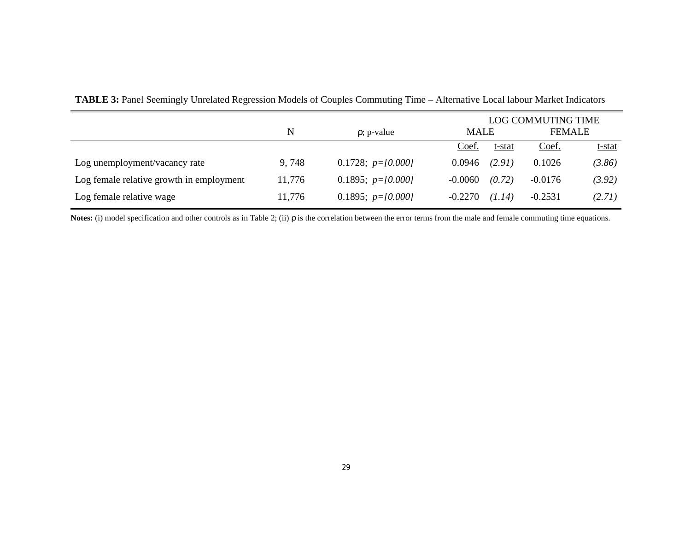|                                          |        |                      |             |        | <b>LOG COMMUTING TIME</b> |               |
|------------------------------------------|--------|----------------------|-------------|--------|---------------------------|---------------|
|                                          | N      | $\rho$ ; p-value     | <b>MALE</b> |        | <b>FEMALE</b>             |               |
|                                          |        |                      | Coef.       | t-stat | Coef.                     | <u>t-stat</u> |
| Log unemployment/vacancy rate            | 9,748  | 0.1728; $p=$ [0.000] | 0.0946      | (2.91) | 0.1026                    | (3.86)        |
| Log female relative growth in employment | 11,776 | 0.1895; $p=$ [0.000] | $-0.0060$   | (0.72) | $-0.0176$                 | (3.92)        |
| Log female relative wage                 | 11,776 | 0.1895; $p=$ [0.000] | $-0.2270$   | (1.14) | $-0.2531$                 | (2.71)        |

|  |  | TABLE 3: Panel Seemingly Unrelated Regression Models of Couples Commuting Time - Alternative Local labour Market Indicators |
|--|--|-----------------------------------------------------------------------------------------------------------------------------|
|  |  |                                                                                                                             |

**Notes:** (i) model specification and other controls as in Table 2; (ii) ρ is the correlation between the error terms from the male and female commuting time equations.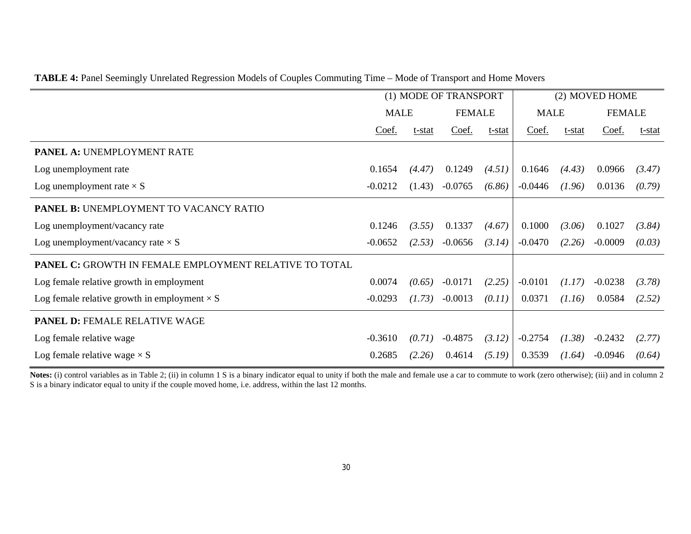| TABLE 4: Panel Seemingly Unrelated Regression Models of Couples Commuting Time – Mode of Transport and Home Movers |  |  |  |
|--------------------------------------------------------------------------------------------------------------------|--|--|--|
|                                                                                                                    |  |  |  |

|                                                               | (1) MODE OF TRANSPORT |        |               |        |             | (2) MOVED HOME |               |        |
|---------------------------------------------------------------|-----------------------|--------|---------------|--------|-------------|----------------|---------------|--------|
|                                                               | <b>MALE</b>           |        | <b>FEMALE</b> |        | <b>MALE</b> |                | <b>FEMALE</b> |        |
|                                                               | Coef.                 | t-stat | Coef.         | t-stat | Coef.       | t-stat         | Coef.         | t-stat |
| <b>PANEL A: UNEMPLOYMENT RATE</b>                             |                       |        |               |        |             |                |               |        |
| Log unemployment rate                                         | 0.1654                | (4.47) | 0.1249        | (4.51) | 0.1646      | (4.43)         | 0.0966        | (3.47) |
| Log unemployment rate $\times S$                              | $-0.0212$             | (1.43) | $-0.0765$     | (6.86) | $-0.0446$   | (1.96)         | 0.0136        | (0.79) |
| <b>PANEL B: UNEMPLOYMENT TO VACANCY RATIO</b>                 |                       |        |               |        |             |                |               |        |
| Log unemployment/vacancy rate                                 | 0.1246                | (3.55) | 0.1337        | (4.67) | 0.1000      | (3.06)         | 0.1027        | (3.84) |
| Log unemployment/vacancy rate $\times S$                      | $-0.0652$             | (2.53) | $-0.0656$     | (3.14) | $-0.0470$   | (2.26)         | $-0.0009$     | (0.03) |
| <b>PANEL C: GROWTH IN FEMALE EMPLOYMENT RELATIVE TO TOTAL</b> |                       |        |               |        |             |                |               |        |
| Log female relative growth in employment                      | 0.0074                | (0.65) | $-0.0171$     | (2.25) | $-0.0101$   | (1.17)         | $-0.0238$     | (3.78) |
| Log female relative growth in employment $\times S$           | $-0.0293$             | (1.73) | $-0.0013$     | (0.11) | 0.0371      | (1.16)         | 0.0584        | (2.52) |
| <b>PANEL D: FEMALE RELATIVE WAGE</b>                          |                       |        |               |        |             |                |               |        |
| Log female relative wage                                      | $-0.3610$             | (0.71) | $-0.4875$     | (3.12) | $-0.2754$   | (1.38)         | $-0.2432$     | (2.77) |
| Log female relative wage $\times S$                           | 0.2685                | (2.26) | 0.4614        | (5.19) | 0.3539      | (1.64)         | $-0.0946$     | (0.64) |

Notes: (i) control variables as in Table 2; (ii) in column 1 S is a binary indicator equal to unity if both the male and female use a car to commute to work (zero otherwise); (iii) and in column 2 S is a binary indicator equal to unity if the couple moved home, i.e. address, within the last 12 months.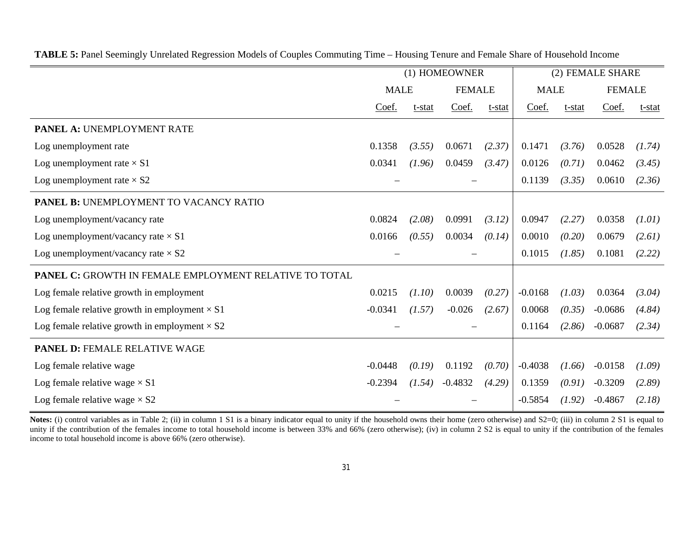|                                                        | (1) HOMEOWNER |             |           |               |           | (2) FEMALE SHARE |               |        |
|--------------------------------------------------------|---------------|-------------|-----------|---------------|-----------|------------------|---------------|--------|
|                                                        |               | <b>MALE</b> |           | <b>FEMALE</b> |           | <b>MALE</b>      | <b>FEMALE</b> |        |
|                                                        | Coef.         | t-stat      | Coef.     | t-stat        | Coef.     | t-stat           | Coef.         | t-stat |
| PANEL A: UNEMPLOYMENT RATE                             |               |             |           |               |           |                  |               |        |
| Log unemployment rate                                  | 0.1358        | (3.55)      | 0.0671    | (2.37)        | 0.1471    | (3.76)           | 0.0528        | (1.74) |
| Log unemployment rate $\times$ S1                      | 0.0341        | (1.96)      | 0.0459    | (3.47)        | 0.0126    | (0.71)           | 0.0462        | (3.45) |
| Log unemployment rate $\times$ S2                      |               |             |           |               | 0.1139    | (3.35)           | 0.0610        | (2.36) |
| PANEL B: UNEMPLOYMENT TO VACANCY RATIO                 |               |             |           |               |           |                  |               |        |
| Log unemployment/vacancy rate                          | 0.0824        | (2.08)      | 0.0991    | (3.12)        | 0.0947    | (2.27)           | 0.0358        | (1.01) |
| Log unemployment/vacancy rate $\times$ S1              | 0.0166        | (0.55)      | 0.0034    | (0.14)        | 0.0010    | (0.20)           | 0.0679        | (2.61) |
| Log unemployment/vacancy rate $\times$ S2              |               |             |           |               | 0.1015    | (1.85)           | 0.1081        | (2.22) |
| PANEL C: GROWTH IN FEMALE EMPLOYMENT RELATIVE TO TOTAL |               |             |           |               |           |                  |               |        |
| Log female relative growth in employment               | 0.0215        | (1.10)      | 0.0039    | (0.27)        | $-0.0168$ | (1.03)           | 0.0364        | (3.04) |
| Log female relative growth in employment $\times$ S1   | $-0.0341$     | (1.57)      | $-0.026$  | (2.67)        | 0.0068    | (0.35)           | $-0.0686$     | (4.84) |
| Log female relative growth in employment $\times$ S2   |               |             |           |               | 0.1164    | (2.86)           | $-0.0687$     | (2.34) |
| <b>PANEL D: FEMALE RELATIVE WAGE</b>                   |               |             |           |               |           |                  |               |        |
| Log female relative wage                               | $-0.0448$     | (0.19)      | 0.1192    | (0.70)        | $-0.4038$ | (1.66)           | $-0.0158$     | (1.09) |
| Log female relative wage $\times$ S1                   | $-0.2394$     | (1.54)      | $-0.4832$ | (4.29)        | 0.1359    | (0.91)           | $-0.3209$     | (2.89) |
| Log female relative wage $\times$ S2                   |               |             |           |               | $-0.5854$ | (1.92)           | $-0.4867$     | (2.18) |

**TABLE 5:** Panel Seemingly Unrelated Regression Models of Couples Commuting Time – Housing Tenure and Female Share of Household Income

Notes: (i) control variables as in Table 2; (ii) in column 1 S1 is a binary indicator equal to unity if the household owns their home (zero otherwise) and S2=0; (iii) in column 2 S1 is equal to unity if the contribution of the females income to total household income is between 33% and 66% (zero otherwise); (iv) in column 2 S2 is equal to unity if the contribution of the females income to total household income is above 66% (zero otherwise).